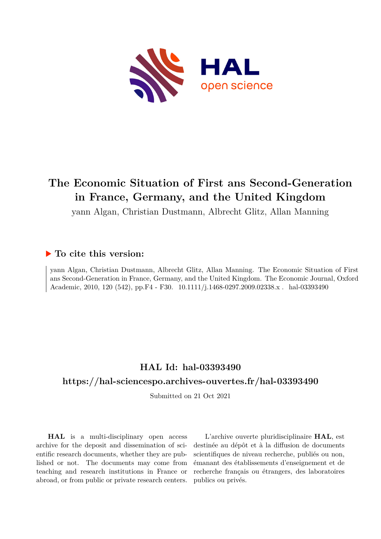

# **The Economic Situation of First ans Second-Generation in France, Germany, and the United Kingdom**

yann Algan, Christian Dustmann, Albrecht Glitz, Allan Manning

# **To cite this version:**

yann Algan, Christian Dustmann, Albrecht Glitz, Allan Manning. The Economic Situation of First ans Second-Generation in France, Germany, and the United Kingdom. The Economic Journal, Oxford Academic, 2010, 120 (542), pp.F4 - F30. 10.1111/j.1468-0297.2009.02338.x. hal-03393490

# **HAL Id: hal-03393490**

# **<https://hal-sciencespo.archives-ouvertes.fr/hal-03393490>**

Submitted on 21 Oct 2021

**HAL** is a multi-disciplinary open access archive for the deposit and dissemination of scientific research documents, whether they are published or not. The documents may come from teaching and research institutions in France or abroad, or from public or private research centers.

L'archive ouverte pluridisciplinaire **HAL**, est destinée au dépôt et à la diffusion de documents scientifiques de niveau recherche, publiés ou non, émanant des établissements d'enseignement et de recherche français ou étrangers, des laboratoires publics ou privés.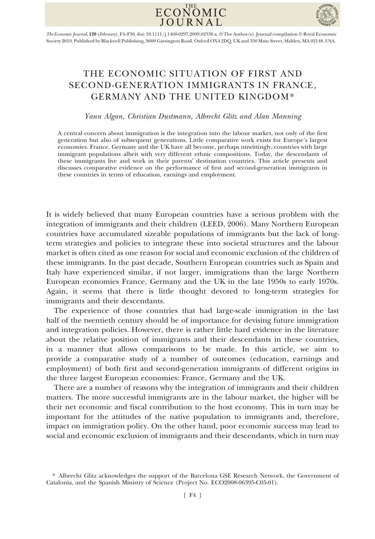



The Economic Journal, 120 (February), F4–F30. doi: 10.1111/j.1468-0297.2009.02338.x. © The Author(s). Journal compilation © Royal Economic Society 2010. Published by Blackwell Publishing, 9600 Garsington Road, Oxford OX4 2DQ, UK and 350 Main Street, Malden, MA 02148, USA.

# THE ECONOMIC SITUATION OF FIRST AND SECOND-GENERATION IMMIGRANTS IN FRANCE, GERMANY AND THE UNITED KINGDOM\*

#### Yann Algan, Christian Dustmann, Albrecht Glitz and Alan Manning

A central concern about immigration is the integration into the labour market, not only of the first generation but also of subsequent generations. Little comparative work exists for Europe's largest economies. France, Germany and the UK have all become, perhaps unwittingly, countries with large immigrant populations albeit with very different ethnic compositions. Today, the descendants of these immigrants live and work in their parents' destination countries. This article presents and discusses comparative evidence on the performance of first and second-generation immigrants in these countries in terms of education, earnings and employment.

It is widely believed that many European countries have a serious problem with the integration of immigrants and their children (LEED, 2006). Many Northern European countries have accumulated sizeable populations of immigrants but the lack of longterm strategies and policies to integrate these into societal structures and the labour market is often cited as one reason for social and economic exclusion of the children of these immigrants. In the past decade, Southern European countries such as Spain and Italy have experienced similar, if not larger, immigrations than the large Northern European economies France, Germany and the UK in the late 1950s to early 1970s. Again, it seems that there is little thought devoted to long-term strategies for immigrants and their descendants.

The experience of those countries that had large-scale immigration in the last half of the twentieth century should be of importance for devising future immigration and integration policies. However, there is rather little hard evidence in the literature about the relative position of immigrants and their descendants in these countries, in a manner that allows comparisons to be made. In this article, we aim to provide a comparative study of a number of outcomes (education, earnings and employment) of both first and second-generation immigrants of different origins in the three largest European economies: France, Germany and the UK.

There are a number of reasons why the integration of immigrants and their children matters. The more successful immigrants are in the labour market, the higher will be their net economic and fiscal contribution to the host economy. This in turn may be important for the attitudes of the native population to immigrants and, therefore, impact on immigration policy. On the other hand, poor economic success may lead to social and economic exclusion of immigrants and their descendants, which in turn may

<sup>\*</sup> Albrecht Glitz acknowledges the support of the Barcelona GSE Research Network, the Government of Catalonia, and the Spanish Ministry of Science (Project No. ECO2008-06395-C05-01).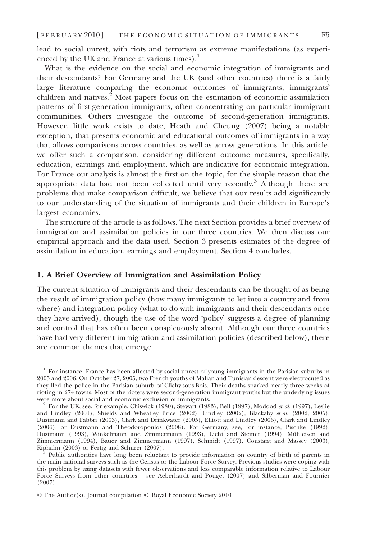[FEBRUARY 2010] THE ECONOMIC SITUATION OF IMMIGRANTS F5

lead to social unrest, with riots and terrorism as extreme manifestations (as experienced by the UK and France at various times).<sup>1</sup>

What is the evidence on the social and economic integration of immigrants and their descendants? For Germany and the UK (and other countries) there is a fairly large literature comparing the economic outcomes of immigrants, immigrants children and natives. $2 \times 2$  Most papers focus on the estimation of economic assimilation patterns of first-generation immigrants, often concentrating on particular immigrant communities. Others investigate the outcome of second-generation immigrants. However, little work exists to date, Heath and Cheung (2007) being a notable exception, that presents economic and educational outcomes of immigrants in a way that allows comparisons across countries, as well as across generations. In this article, we offer such a comparison, considering different outcome measures, specifically, education, earnings and employment, which are indicative for economic integration. For France our analysis is almost the first on the topic, for the simple reason that the appropriate data had not been collected until very recently.<sup>3</sup> Although there are problems that make comparison difficult, we believe that our results add significantly to our understanding of the situation of immigrants and their children in Europe's largest economies.

The structure of the article is as follows. The next Section provides a brief overview of immigration and assimilation policies in our three countries. We then discuss our empirical approach and the data used. Section 3 presents estimates of the degree of assimilation in education, earnings and employment. Section 4 concludes.

# 1. A Brief Overview of Immigration and Assimilation Policy

The current situation of immigrants and their descendants can be thought of as being the result of immigration policy (how many immigrants to let into a country and from where) and integration policy (what to do with immigrants and their descendants once they have arrived), though the use of the word 'policy' suggests a degree of planning and control that has often been conspicuously absent. Although our three countries have had very different immigration and assimilation policies (described below), there are common themes that emerge.

<sup>1</sup> For instance, France has been affected by social unrest of young immigrants in the Parisian suburbs in 2005 and 2006. On October 27, 2005, two French youths of Malian and Tunisian descent were electrocuted as they fled the police in the Parisian suburb of Clichy-sous-Bois. Their deaths sparked nearly three weeks of rioting in 274 towns. Most of the rioters were second-generation immigrant youths but the underlying issues

<sup>2</sup> For the UK, see, for example, Chiswick (1980), Stewart (1983), Bell (1997), Modood *et al.* (1997), Leslie and Lindley (2001), Shields and Wheatley Price (2002), Lindley (2002), Blackaby et al. (2002, 2005), Dustmann and Fabbri (2003), Clark and Drinkwater (2005), Elliott and Lindley (2006), Clark and Lindley (2006), or Dustmann and Theodoropoulos (2008). For Germany, see, for instance, Pischke (1992), Dustmann (1993), Winkelmann and Zimmermann (1993), Licht and Steiner (1994), Mühleisen and Zimmermann (1994), Bauer and Zimmermann (1997), Schmidt (1997), Constant and Massey (2003), Riphahn (2003) or Fertig and Schurer (2007).

 $\delta$  Public authorities have long been reluctant to provide information on country of birth of parents in the main national surveys such as the Census or the Labour Force Survey. Previous studies were coping with this problem by using datasets with fewer observations and less comparable information relative to Labour Force Surveys from other countries – see Aeberhardt and Pouget (2007) and Silberman and Fournier (2007).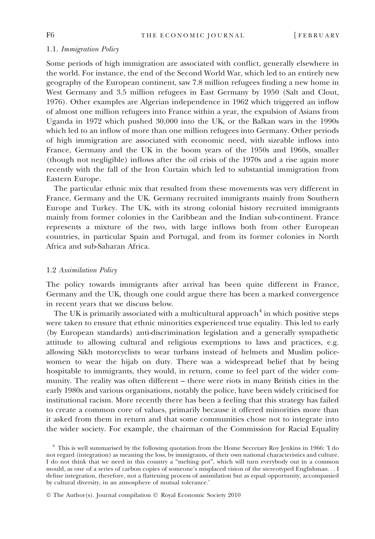## 1.1. Immigration Policy

Some periods of high immigration are associated with conflict, generally elsewhere in the world. For instance, the end of the Second World War, which led to an entirely new geography of the European continent, saw 7.8 million refugees finding a new home in West Germany and 3.5 million refugees in East Germany by 1950 (Salt and Clout, 1976). Other examples are Algerian independence in 1962 which triggered an inflow of almost one million refugees into France within a year, the expulsion of Asians from Uganda in 1972 which pushed 30,000 into the UK, or the Balkan wars in the 1990s which led to an inflow of more than one million refugees into Germany. Other periods of high immigration are associated with economic need, with sizeable inflows into France, Germany and the UK in the boom years of the 1950s and 1960s, smaller (though not negligible) inflows after the oil crisis of the 1970s and a rise again more recently with the fall of the Iron Curtain which led to substantial immigration from Eastern Europe.

The particular ethnic mix that resulted from these movements was very different in France, Germany and the UK. Germany recruited immigrants mainly from Southern Europe and Turkey. The UK, with its strong colonial history recruited immigrants mainly from former colonies in the Caribbean and the Indian sub-continent. France represents a mixture of the two, with large inflows both from other European countries, in particular Spain and Portugal, and from its former colonies in North Africa and sub-Saharan Africa.

#### 1.2 Assimilation Policy

The policy towards immigrants after arrival has been quite different in France, Germany and the UK, though one could argue there has been a marked convergence in recent years that we discuss below.

The UK is primarily associated with a multicultural approach<sup>4</sup> in which positive steps were taken to ensure that ethnic minorities experienced true equality. This led to early (by European standards) anti-discrimination legislation and a generally sympathetic attitude to allowing cultural and religious exemptions to laws and practices, e.g. allowing Sikh motorcyclists to wear turbans instead of helmets and Muslim policewomen to wear the hijab on duty. There was a widespread belief that by being hospitable to immigrants, they would, in return, come to feel part of the wider community. The reality was often different – there were riots in many British cities in the early 1980s and various organisations, notably the police, have been widely criticised for institutional racism. More recently there has been a feeling that this strategy has failed to create a common core of values, primarily because it offered minorities more than it asked from them in return and that some communities chose not to integrate into the wider society. For example, the chairman of the Commission for Racial Equality

<sup>4</sup> This is well summarised by the following quotation from the Home Secretary Roy Jenkins in 1966: I do not regard (integration) as meaning the loss, by immigrants, of their own national characteristics and culture. I do not think that we need in this country a "melting pot", which will turn everybody out in a common mould, as one of a series of carbon copies of someone's misplaced vision of the stereotyped Englishman... I define integration, therefore, not a flattening process of assimilation but as equal opportunity, accompanied by cultural diversity, in an atmosphere of mutual tolerance.'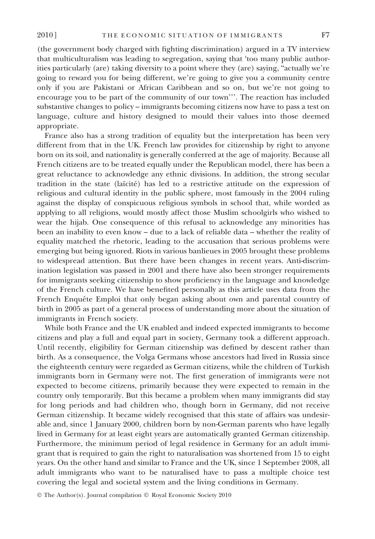(the government body charged with fighting discrimination) argued in a TV interview that multiculturalism was leading to segregation, saying that 'too many public authorities particularly (are) taking diversity to a point where they (are) saying, "actually we're going to reward you for being different, we're going to give you a community centre only if you are Pakistani or African Caribbean and so on, but we're not going to encourage you to be part of the community of our town'''. The reaction has included substantive changes to policy – immigrants becoming citizens now have to pass a test on language, culture and history designed to mould their values into those deemed appropriate.

France also has a strong tradition of equality but the interpretation has been very different from that in the UK. French law provides for citizenship by right to anyone born on its soil, and nationality is generally conferred at the age of majority. Because all French citizens are to be treated equally under the Republican model, there has been a great reluctance to acknowledge any ethnic divisions. In addition, the strong secular tradition in the state (laicité) has led to a restrictive attitude on the expression of religious and cultural identity in the public sphere, most famously in the 2004 ruling against the display of conspicuous religious symbols in school that, while worded as applying to all religions, would mostly affect those Muslim schoolgirls who wished to wear the hijab. One consequence of this refusal to acknowledge any minorities has been an inability to even know – due to a lack of reliable data – whether the reality of equality matched the rhetoric, leading to the accusation that serious problems were emerging but being ignored. Riots in various banlieues in 2005 brought these problems to widespread attention. But there have been changes in recent years. Anti-discrimination legislation was passed in 2001 and there have also been stronger requirements for immigrants seeking citizenship to show proficiency in the language and knowledge of the French culture. We have benefited personally as this article uses data from the French Enquête Emploi that only began asking about own and parental country of birth in 2005 as part of a general process of understanding more about the situation of immigrants in French society.

While both France and the UK enabled and indeed expected immigrants to become citizens and play a full and equal part in society, Germany took a different approach. Until recently, eligibility for German citizenship was defined by descent rather than birth. As a consequence, the Volga Germans whose ancestors had lived in Russia since the eighteenth century were regarded as German citizens, while the children of Turkish immigrants born in Germany were not. The first generation of immigrants were not expected to become citizens, primarily because they were expected to remain in the country only temporarily. But this became a problem when many immigrants did stay for long periods and had children who, though born in Germany, did not receive German citizenship. It became widely recognised that this state of affairs was undesirable and, since 1 January 2000, children born by non-German parents who have legally lived in Germany for at least eight years are automatically granted German citizenship. Furthermore, the minimum period of legal residence in Germany for an adult immigrant that is required to gain the right to naturalisation was shortened from 15 to eight years. On the other hand and similar to France and the UK, since 1 September 2008, all adult immigrants who want to be naturalised have to pass a multiple choice test covering the legal and societal system and the living conditions in Germany.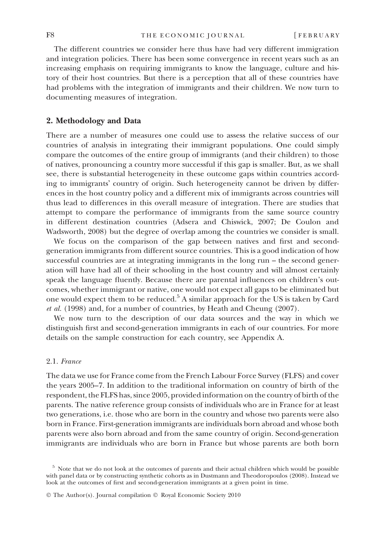The different countries we consider here thus have had very different immigration and integration policies. There has been some convergence in recent years such as an increasing emphasis on requiring immigrants to know the language, culture and history of their host countries. But there is a perception that all of these countries have had problems with the integration of immigrants and their children. We now turn to documenting measures of integration.

#### 2. Methodology and Data

There are a number of measures one could use to assess the relative success of our countries of analysis in integrating their immigrant populations. One could simply compare the outcomes of the entire group of immigrants (and their children) to those of natives, pronouncing a country more successful if this gap is smaller. But, as we shall see, there is substantial heterogeneity in these outcome gaps within countries according to immigrants' country of origin. Such heterogeneity cannot be driven by differences in the host country policy and a different mix of immigrants across countries will thus lead to differences in this overall measure of integration. There are studies that attempt to compare the performance of immigrants from the same source country in different destination countries (Adsera and Chiswick, 2007; De Coulon and Wadsworth, 2008) but the degree of overlap among the countries we consider is small.

We focus on the comparison of the gap between natives and first and secondgeneration immigrants from different source countries. This is a good indication of how successful countries are at integrating immigrants in the long run – the second generation will have had all of their schooling in the host country and will almost certainly speak the language fluently. Because there are parental influences on children's outcomes, whether immigrant or native, one would not expect all gaps to be eliminated but one would expect them to be reduced.<sup>5</sup> A similar approach for the US is taken by Card et al. (1998) and, for a number of countries, by Heath and Cheung (2007).

We now turn to the description of our data sources and the way in which we distinguish first and second-generation immigrants in each of our countries. For more details on the sample construction for each country, see Appendix A.

#### 2.1. France

The data we use for France come from the French Labour Force Survey (FLFS) and cover the years 2005–7. In addition to the traditional information on country of birth of the respondent, the FLFS has, since 2005, provided information on the country of birth of the parents. The native reference group consists of individuals who are in France for at least two generations, i.e. those who are born in the country and whose two parents were also born in France. First-generation immigrants are individuals born abroad and whose both parents were also born abroad and from the same country of origin. Second-generation immigrants are individuals who are born in France but whose parents are both born

<sup>5</sup> Note that we do not look at the outcomes of parents and their actual children which would be possible with panel data or by constructing synthetic cohorts as in Dustmann and Theodoropoulos (2008). Instead we look at the outcomes of first and second-generation immigrants at a given point in time.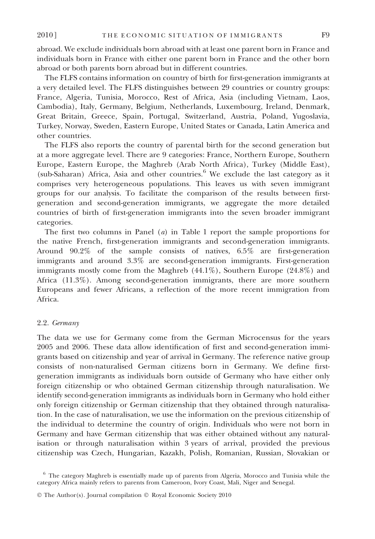abroad. We exclude individuals born abroad with at least one parent born in France and individuals born in France with either one parent born in France and the other born abroad or both parents born abroad but in different countries.

The FLFS contains information on country of birth for first-generation immigrants at a very detailed level. The FLFS distinguishes between 29 countries or country groups: France, Algeria, Tunisia, Morocco, Rest of Africa, Asia (including Vietnam, Laos, Cambodia), Italy, Germany, Belgium, Netherlands, Luxembourg, Ireland, Denmark, Great Britain, Greece, Spain, Portugal, Switzerland, Austria, Poland, Yugoslavia, Turkey, Norway, Sweden, Eastern Europe, United States or Canada, Latin America and other countries.

The FLFS also reports the country of parental birth for the second generation but at a more aggregate level. There are 9 categories: France, Northern Europe, Southern Europe, Eastern Europe, the Maghreb (Arab North Africa), Turkey (Middle East), (sub-Saharan) Africa, Asia and other countries. $6$  We exclude the last category as it comprises very heterogeneous populations. This leaves us with seven immigrant groups for our analysis. To facilitate the comparison of the results between firstgeneration and second-generation immigrants, we aggregate the more detailed countries of birth of first-generation immigrants into the seven broader immigrant categories.

The first two columns in Panel (a) in Table 1 report the sample proportions for the native French, first-generation immigrants and second-generation immigrants. Around 90.2% of the sample consists of natives, 6.5% are first-generation immigrants and around 3.3% are second-generation immigrants. First-generation immigrants mostly come from the Maghreb (44.1%), Southern Europe (24.8%) and Africa (11.3%). Among second-generation immigrants, there are more southern Europeans and fewer Africans, a reflection of the more recent immigration from Africa.

#### 2.2. Germany

The data we use for Germany come from the German Microcensus for the years 2005 and 2006. These data allow identification of first and second-generation immigrants based on citizenship and year of arrival in Germany. The reference native group consists of non-naturalised German citizens born in Germany. We define firstgeneration immigrants as individuals born outside of Germany who have either only foreign citizenship or who obtained German citizenship through naturalisation. We identify second-generation immigrants as individuals born in Germany who hold either only foreign citizenship or German citizenship that they obtained through naturalisation. In the case of naturalisation, we use the information on the previous citizenship of the individual to determine the country of origin. Individuals who were not born in Germany and have German citizenship that was either obtained without any naturalisation or through naturalisation within 3 years of arrival, provided the previous citizenship was Czech, Hungarian, Kazakh, Polish, Romanian, Russian, Slovakian or

<sup>6</sup> The category Maghreb is essentially made up of parents from Algeria, Morocco and Tunisia while the category Africa mainly refers to parents from Cameroon, Ivory Coast, Mali, Niger and Senegal.

<sup>©</sup> The Author(s). Journal compilation © Royal Economic Society 2010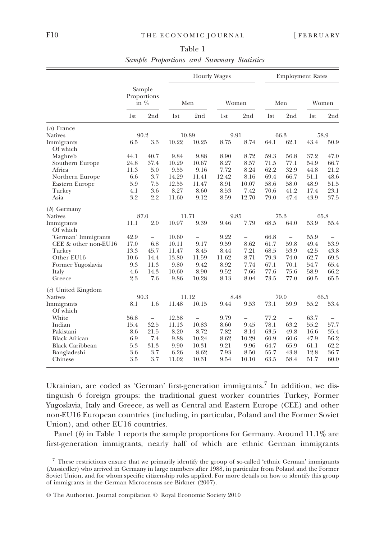|                      |                                 |                          |       |                   | <b>Hourly Wages</b> |                          | <b>Employment Rates</b> |                          |                 |                   |
|----------------------|---------------------------------|--------------------------|-------|-------------------|---------------------|--------------------------|-------------------------|--------------------------|-----------------|-------------------|
|                      | Sample<br>Proportions<br>in $%$ |                          |       | Men               | Women               |                          |                         | Men                      |                 | Women             |
|                      | 1st                             | 2nd                      | 1st   | 2nd               | 1st                 | 2 <sub>nd</sub>          | 1 <sub>st</sub>         | 2nd                      | 1 <sub>st</sub> | 2 <sub>nd</sub>   |
| $(a)$ France         |                                 |                          |       |                   |                     |                          |                         |                          |                 |                   |
| <b>Natives</b>       |                                 | 90.2                     |       | 10.89             | 9.91                |                          |                         | 66.3                     |                 | 58.9              |
| Immigrants           | 6.5                             | 3.3                      | 10.22 | 10.25             | 8.75                | 8.74                     | 64.1                    | 62.1                     | 43.4            | 50.9              |
| Of which             |                                 |                          |       |                   |                     |                          |                         |                          |                 |                   |
| Maghreb              | 44.1                            | 40.7                     | 9.84  | 9.88              | 8.90                | 8.72                     | 59.3                    | 56.8                     | 37.2            | 47.0              |
| Southern Europe      | 24.8                            | 37.4                     | 10.29 | 10.67             | 8.27                | 8.57                     | 71.5                    | 77.1                     | 54.9            | 66.7              |
| Africa               | 11.3                            | 5.0                      | 9.55  | 9.16              | 7.72                | 8.24                     | 62.2                    | 32.9                     | 44.8            | 21.2              |
| Northern Europe      | 6.6                             | 3.7                      | 14.29 | 11.41             | 12.42               | 8.16                     | 69.4                    | 66.7                     | 51.1            | 48.6              |
| Eastern Europe       | 5.9                             | 7.5                      | 12.55 | 11.47             | 8.91                | 10.07                    | 58.6                    | 58.0                     | 48.9            | 51.5              |
| Turkey               | 4.1                             | 3.6                      | 8.27  | 8.60              | 8.53                | 7.42                     | 70.6                    | 41.2                     | 17.4            | 23.1              |
| Asia                 | 3.2                             | 2.2                      | 11.60 | 9.12              | 8.59                | 12.70                    | 79.0                    | 47.4                     | 43.9            | 37.5              |
| $(b)$ Germany        |                                 |                          |       |                   |                     |                          |                         |                          |                 |                   |
| <b>Natives</b>       |                                 | 87.0                     | 11.71 |                   | 9.85                |                          |                         | 75.3                     |                 | 65.8              |
| Immigrants           | 11.1                            | 2.0                      | 10.97 | 9.39              | 9.46                | 7.79                     | 68.5                    | 64.0                     | 53.9            | 55.4              |
| Of which             |                                 |                          |       |                   |                     |                          |                         |                          |                 |                   |
| 'German' Immigrants  | 42.9                            | $\qquad \qquad -$        | 10.60 | $\qquad \qquad -$ | 9.22                | $\overline{\phantom{0}}$ | 66.8                    | $\overline{\phantom{0}}$ | 55.9            | $\qquad \qquad -$ |
| CEE & other non-EU16 | 17.0                            | 6.8                      | 10.11 | 9.17              | 9.59                | 8.62                     | 61.7                    | 59.8                     | 49.4            | 53.9              |
| Turkey               | 13.3                            | 45.7                     | 11.47 | 8.45              | 8.44                | 7.21                     | 68.5                    | 53.9                     | 42.5            | 43.8              |
| Other EU16           | 10.6                            | 14.4                     | 13.80 | 11.59             | 11.62               | 8.71                     | 79.3                    | 74.0                     | 62.7            | 69.3              |
| Former Yugoslavia    | 9.3                             | 11.3                     | 9.80  | 9.42              | 8.92                | 7.74                     | 67.1                    | 70.1                     | 54.7            | 65.4              |
| Italy                | 4.6                             | 14.3                     | 10.60 | 8.90              | 9.52                | 7.66                     | 77.6                    | 75.6                     | 58.9            | 66.2              |
| Greece               | 2.3                             | 7.6                      | 9.86  | 10.28             | 8.13                | 8.04                     | 73.5                    | 77.0                     | 60.5            | 65.5              |
| $(c)$ United Kingdom |                                 |                          |       |                   |                     |                          |                         |                          |                 |                   |
| <b>Natives</b>       |                                 | 90.3                     |       | 11.12             | 8.48                |                          |                         | 79.0                     |                 | 66.5              |
| Immigrants           | 8.1                             | 1.6                      | 11.48 | 10.15             | 9.44                | 9.53                     | 73.1                    | 59.9                     | 55.2            | 53.4              |
| Of which             |                                 |                          |       |                   |                     |                          |                         |                          |                 |                   |
| White                | 56.8                            | $\overline{\phantom{a}}$ | 12.58 |                   | 9.79                | $\overline{\phantom{0}}$ | 77.2                    | $\overline{\phantom{0}}$ | 63.7            |                   |
| Indian               | 15.4                            | 32.5                     | 11.13 | 10.83             | 8.60                | 9.45                     | 78.1                    | 63.2                     | 55.2            | 57.7              |
| Pakistani            | 8.6                             | 21.5                     | 8.20  | 8.72              | 7.82                | 8.14                     | 63.5                    | 49.8                     | 16.6            | 35.4              |
| <b>Black African</b> | 6.9                             | 7.4                      | 9.88  | 10.24             | 8.62                | 10.29                    | 60.9                    | 60.6                     | 47.9            | 56.2              |
| Black Caribbean      | 5.3                             | 31.3                     | 9.90  | 10.31             | 9.21                | 9.96                     | 64.7                    | 65.9                     | 61.1            | 62.2              |
| Bangladeshi          | 3.6                             | 3.7                      | 6.26  | 8.62              | 7.93                | 8.50                     | 55.7                    | 43.8                     | 12.8            | 36.7              |
| Chinese              | 3.5                             | 3.7                      | 11.02 | 10.31             | 9.54                | 10.10                    | 63.5                    | 58.4                     | 51.7            | 60.0              |

Table 1 Sample Proportions and Summary Statistics

Ukrainian, are coded as 'German' first-generation immigrants.<sup>7</sup> In addition, we distinguish 6 foreign groups: the traditional guest worker countries Turkey, Former Yugoslavia, Italy and Greece, as well as Central and Eastern Europe (CEE) and other non-EU16 European countries (including, in particular, Poland and the Former Soviet Union), and other EU16 countries.

Panel  $(b)$  in Table 1 reports the sample proportions for Germany. Around 11.1% are first-generation immigrants, nearly half of which are ethnic German immigrants

 $7$  These restrictions ensure that we primarily identify the group of so-called 'ethnic German' immigrants (Aussiedler) who arrived in Germany in large numbers after 1988, in particular from Poland and the Former Soviet Union, and for whom specific citizenship rules applied. For more details on how to identify this group of immigrants in the German Microcensus see Birkner (2007).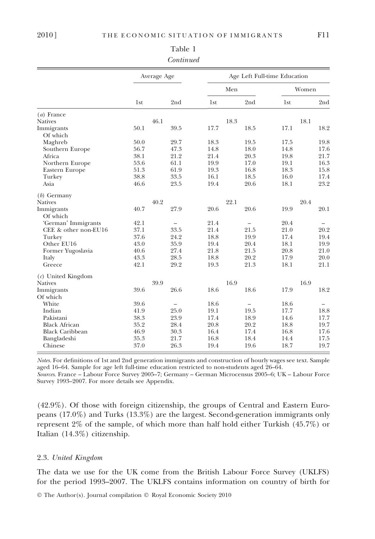|                        | Average Age |                          | Age Left Full-time Education |      |      |       |
|------------------------|-------------|--------------------------|------------------------------|------|------|-------|
|                        |             |                          |                              | Men  |      | Women |
|                        | 1st         | 2nd                      | 1st                          | 2nd  | 1st  | 2nd   |
| $(a)$ France           |             |                          |                              |      |      |       |
| <b>Natives</b>         |             | 46.1                     |                              | 18.3 |      | 18.1  |
| Immigrants             | 50.1        | 39.5                     | 17.7                         | 18.5 | 17.1 | 18.2  |
| Of which               |             |                          |                              |      |      |       |
| Maghreb                | 50.0        | 29.7                     | 18.3                         | 19.5 | 17.5 | 19.8  |
| Southern Europe        | 56.7        | 47.3                     | 14.8                         | 18.0 | 14.8 | 17.6  |
| Africa                 | 38.1        | 21.2                     | 21.4                         | 20.3 | 19.8 | 21.7  |
| Northern Europe        | 53.6        | 61.1                     | 19.9                         | 17.0 | 19.1 | 16.3  |
| Eastern Europe         | 51.3        | 61.9                     | 19.3                         | 16.8 | 18.3 | 15.8  |
| Turkey                 | 38.8        | 33.5                     | 16.1                         | 18.5 | 16.0 | 17.4  |
| Asia                   | 46.6        | 23.5                     | 19.4                         | 20.6 | 18.1 | 23.2  |
| $(b)$ Germany          |             |                          |                              |      |      |       |
| <b>Natives</b>         |             | 40.2                     | 22.1                         |      |      | 20.4  |
| Immigrants             | 40.7        | 27.9                     | 20.6                         | 20.6 | 19.9 | 20.1  |
| Of which               |             |                          |                              |      |      |       |
| 'German' Immigrants    | 42.1        |                          | 21.4                         |      | 20.4 |       |
| CEE & other non-EU16   | 37.1        | 33.5                     | 21.4                         | 21.5 | 21.0 | 20.2  |
| Turkey                 | 37.6        | 24.2                     | 18.8                         | 19.9 | 17.4 | 19.4  |
| Other EU16             | 43.0        | 35.9                     | 19.4                         | 20.4 | 18.1 | 19.9  |
| Former Yugoslavia      | 40.6        | 27.4                     | 21.8                         | 21.5 | 20.8 | 21.0  |
| Italy                  | 43.3        | 28.5                     | 18.8                         | 20.2 | 17.9 | 20.0  |
| Greece                 | 42.1        | 29.2                     | 19.3                         | 21.3 | 18.1 | 21.1  |
| $(c)$ United Kingdom   |             |                          |                              |      |      |       |
| <b>Natives</b>         |             | 39.9                     |                              | 16.9 |      | 16.9  |
| Immigrants             | 39.6        | 26.6                     | 18.6                         | 18.6 | 17.9 | 18.2  |
| Of which               |             |                          |                              |      |      |       |
| White                  | 39.6        | $\overline{\phantom{0}}$ | 18.6                         | -    | 18.6 |       |
| Indian                 | 41.9        | 25.0                     | 19.1                         | 19.5 | 17.7 | 18.8  |
| Pakistani              | 38.3        | 23.9                     | 17.4                         | 18.9 | 14.6 | 17.7  |
| <b>Black African</b>   | 35.2        | 28.4                     | 20.8                         | 20.2 | 18.8 | 19.7  |
| <b>Black Caribbean</b> | 46.9        | 30.3                     | 16.4                         | 17.4 | 16.8 | 17.6  |
| Bangladeshi            | 35.3        | 21.7                     | 16.8                         | 18.4 | 14.4 | 17.5  |
| Chinese                | 37.0        | 26.3                     | 19.4                         | 19.6 | 18.7 | 19.7  |

| Table 1   |  |
|-----------|--|
| Continued |  |

Notes. For definitions of 1st and 2nd generation immigrants and construction of hourly wages see text. Sample aged 16–64. Sample for age left full-time education restricted to non-students aged 26–64. Sources. France – Labour Force Survey 2005–7; Germany – German Microcensus 2005–6; UK – Labour Force

Survey 1993–2007. For more details see Appendix.

(42.9%). Of those with foreign citizenship, the groups of Central and Eastern Europeans (17.0%) and Turks (13.3%) are the largest. Second-generation immigrants only represent 2% of the sample, of which more than half hold either Turkish (45.7%) or Italian (14.3%) citizenship.

#### 2.3. United Kingdom

The data we use for the UK come from the British Labour Force Survey (UKLFS) for the period 1993–2007. The UKLFS contains information on country of birth for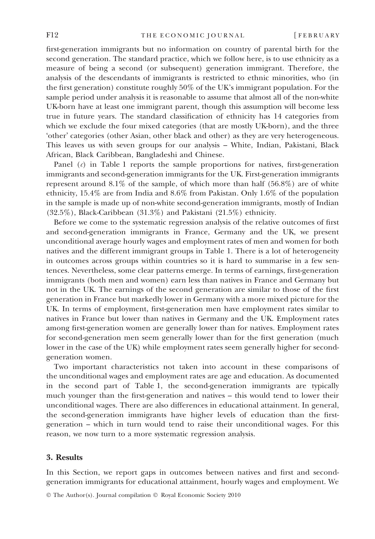first-generation immigrants but no information on country of parental birth for the second generation. The standard practice, which we follow here, is to use ethnicity as a measure of being a second (or subsequent) generation immigrant. Therefore, the analysis of the descendants of immigrants is restricted to ethnic minorities, who (in the first generation) constitute roughly 50% of the UK's immigrant population. For the sample period under analysis it is reasonable to assume that almost all of the non-white UK-born have at least one immigrant parent, though this assumption will become less true in future years. The standard classification of ethnicity has 14 categories from which we exclude the four mixed categories (that are mostly UK-born), and the three 'other' categories (other Asian, other black and other) as they are very heterogeneous. This leaves us with seven groups for our analysis – White, Indian, Pakistani, Black African, Black Caribbean, Bangladeshi and Chinese.

Panel  $(c)$  in Table 1 reports the sample proportions for natives, first-generation immigrants and second-generation immigrants for the UK. First-generation immigrants represent around 8.1% of the sample, of which more than half (56.8%) are of white ethnicity, 15.4% are from India and 8.6% from Pakistan. Only 1.6% of the population in the sample is made up of non-white second-generation immigrants, mostly of Indian (32.5%), Black-Caribbean (31.3%) and Pakistani (21.5%) ethnicity.

Before we come to the systematic regression analysis of the relative outcomes of first and second-generation immigrants in France, Germany and the UK, we present unconditional average hourly wages and employment rates of men and women for both natives and the different immigrant groups in Table 1. There is a lot of heterogeneity in outcomes across groups within countries so it is hard to summarise in a few sentences. Nevertheless, some clear patterns emerge. In terms of earnings, first-generation immigrants (both men and women) earn less than natives in France and Germany but not in the UK. The earnings of the second generation are similar to those of the first generation in France but markedly lower in Germany with a more mixed picture for the UK. In terms of employment, first-generation men have employment rates similar to natives in France but lower than natives in Germany and the UK. Employment rates among first-generation women are generally lower than for natives. Employment rates for second-generation men seem generally lower than for the first generation (much lower in the case of the UK) while employment rates seem generally higher for secondgeneration women.

Two important characteristics not taken into account in these comparisons of the unconditional wages and employment rates are age and education. As documented in the second part of Table 1, the second-generation immigrants are typically much younger than the first-generation and natives – this would tend to lower their unconditional wages. There are also differences in educational attainment. In general, the second-generation immigrants have higher levels of education than the firstgeneration – which in turn would tend to raise their unconditional wages. For this reason, we now turn to a more systematic regression analysis.

## 3. Results

In this Section, we report gaps in outcomes between natives and first and secondgeneration immigrants for educational attainment, hourly wages and employment. We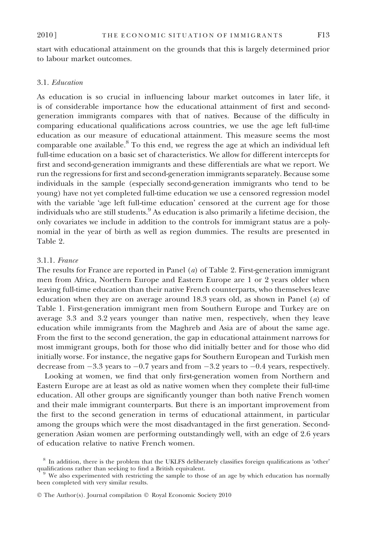start with educational attainment on the grounds that this is largely determined prior to labour market outcomes.

## 3.1. Education

As education is so crucial in influencing labour market outcomes in later life, it is of considerable importance how the educational attainment of first and secondgeneration immigrants compares with that of natives. Because of the difficulty in comparing educational qualifications across countries, we use the age left full-time education as our measure of educational attainment. This measure seems the most comparable one available.<sup>8</sup> To this end, we regress the age at which an individual left full-time education on a basic set of characteristics. We allow for different intercepts for first and second-generation immigrants and these differentials are what we report. We run the regressions for first and second-generation immigrants separately. Because some individuals in the sample (especially second-generation immigrants who tend to be young) have not yet completed full-time education we use a censored regression model with the variable 'age left full-time education' censored at the current age for those individuals who are still students.<sup>9</sup> As education is also primarily a lifetime decision, the only covariates we include in addition to the controls for immigrant status are a polynomial in the year of birth as well as region dummies. The results are presented in Table 2.

#### 3.1.1. France

The results for France are reported in Panel (a) of Table 2. First-generation immigrant men from Africa, Northern Europe and Eastern Europe are 1 or 2 years older when leaving full-time education than their native French counterparts, who themselves leave education when they are on average around 18.3 years old, as shown in Panel (a) of Table 1. First-generation immigrant men from Southern Europe and Turkey are on average 3.3 and 3.2 years younger than native men, respectively, when they leave education while immigrants from the Maghreb and Asia are of about the same age. From the first to the second generation, the gap in educational attainment narrows for most immigrant groups, both for those who did initially better and for those who did initially worse. For instance, the negative gaps for Southern European and Turkish men decrease from  $-3.3$  years to  $-0.7$  years and from  $-3.2$  years to  $-0.4$  years, respectively.

Looking at women, we find that only first-generation women from Northern and Eastern Europe are at least as old as native women when they complete their full-time education. All other groups are significantly younger than both native French women and their male immigrant counterparts. But there is an important improvement from the first to the second generation in terms of educational attainment, in particular among the groups which were the most disadvantaged in the first generation. Secondgeneration Asian women are performing outstandingly well, with an edge of 2.6 years of education relative to native French women.

 $8\,$  In addition, there is the problem that the UKLFS deliberately classifies foreign qualifications as 'other' qualifications rather than seeking to find a British equivalent.<br><sup>9</sup> We also experimented with restricting the sample to those of an age by which education has normally

been completed with very similar results.

<sup>©</sup> The Author(s). Journal compilation © Royal Economic Society 2010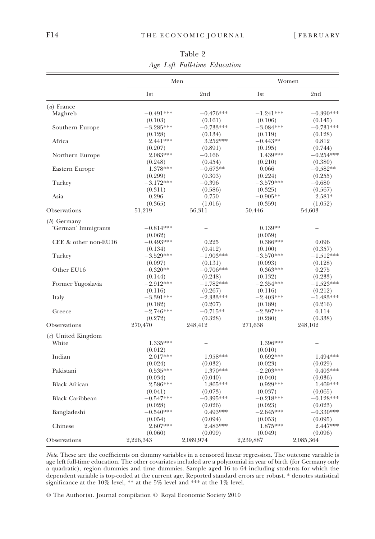|                        |             | Men         | Women       |             |  |
|------------------------|-------------|-------------|-------------|-------------|--|
|                        | 1st         | 2nd         | 1st         | 2nd         |  |
| $(a)$ France           |             |             |             |             |  |
| Maghreb                | $-0.491***$ | $-0.476***$ | $-1.241***$ | $-0.390***$ |  |
|                        | (0.103)     | (0.161)     | (0.106)     | (0.145)     |  |
| Southern Europe        | $-3.285***$ | $-0.733***$ | $-3.084***$ | $-0.731***$ |  |
|                        | (0.128)     | (0.134)     | (0.119)     | (0.128)     |  |
| Africa                 | 2.441***    | 3.252***    | $-0.443**$  | 0.812       |  |
|                        | (0.207)     | (0.891)     | (0.195)     | (0.744)     |  |
| Northern Europe        | 2.083***    | $-0.166$    | 1.439***    | $-0.254***$ |  |
|                        | (0.248)     | (0.454)     | (0.210)     | (0.380)     |  |
| Eastern Europe         | 1.378***    | $-0.673**$  | 0.066       | $-0.582**$  |  |
|                        | (0.299)     | (0.303)     | (0.224)     | (0.255)     |  |
| Turkey                 | $-3.172***$ | $-0.396$    | $-3.579***$ | $-0.680$    |  |
|                        | (0.311)     | (0.586)     | (0.325)     | (0.567)     |  |
| Asia                   | 0.296       | 0.750       | $-0.905**$  | $2.581*$    |  |
|                        | (0.365)     | (1.016)     | (0.359)     | (1.052)     |  |
| Observations           | 51,219      | 56,311      | 50,446      | 54,603      |  |
| $(b)$ Germany          |             |             |             |             |  |
| 'German' Immigrants    | $-0.814***$ |             | $0.139**$   |             |  |
|                        | (0.062)     |             | (0.059)     |             |  |
| CEE & other non-EU16   | $-0.493***$ | 0.225       | $0.386***$  | 0.096       |  |
|                        | (0.134)     | (0.412)     | (0.100)     | (0.357)     |  |
| Turkey                 | $-3.529***$ | $-1.903***$ | $-3.570***$ | $-1.512***$ |  |
|                        | (0.097)     | (0.131)     | (0.093)     | (0.128)     |  |
| Other EU16             | $-0.320**$  | $-0.706***$ | $0.363***$  | 0.275       |  |
|                        | (0.144)     | (0.248)     | (0.132)     | (0.233)     |  |
| Former Yugoslavia      | $-2.912***$ | $-1.782***$ | $-2.354***$ | $-1.523***$ |  |
|                        | (0.116)     | (0.267)     | (0.116)     | (0.212)     |  |
| Italy                  | $-3.391***$ | $-2.333***$ | $-2.403***$ | $-1.483***$ |  |
|                        | (0.182)     | (0.207)     | (0.189)     | (0.216)     |  |
| Greece                 | $-2.746***$ | $-0.715**$  | $-2.397***$ | 0.114       |  |
|                        | (0.272)     | (0.328)     | (0.280)     | (0.338)     |  |
| Observations           | 270,470     | 248,412     | 271,638     | 248,102     |  |
|                        |             |             |             |             |  |
| $(c)$ United Kingdom   |             |             |             |             |  |
| White                  | 1.335***    |             | 1.396***    |             |  |
|                        | (0.012)     |             | (0.010)     |             |  |
| Indian                 | $2.017***$  | 1.958***    | $0.692***$  | 1.494 ***   |  |
|                        | (0.024)     | (0.032)     | (0.023)     | (0.029)     |  |
| Pakistani              | $0.535***$  | $1.370***$  | $-2.203***$ | $0.403***$  |  |
|                        | (0.034)     | (0.040)     | (0.040)     | (0.036)     |  |
| <b>Black African</b>   | 2.586***    | $1.865***$  | $0.929***$  | 1.469***    |  |
|                        | (0.041)     | (0.073)     | (0.037)     | (0.065)     |  |
| <b>Black Caribbean</b> | $-0.547***$ | $-0.395***$ | $-0.218***$ | $-0.128***$ |  |
|                        | (0.028)     | (0.026)     | (0.023)     | (0.023)     |  |
| Bangladeshi            | $-0.540***$ | $0.493***$  | $-2.645***$ | $-0.330***$ |  |
|                        | (0.054)     | (0.094)     | (0.053)     | (0.095)     |  |
| Chinese                | 2.607***    | 2.483***    | 1.875***    | 2.447***    |  |
|                        | (0.060)     | (0.099)     | (0.049)     | (0.096)     |  |
| Observations           | 2,226,343   | 2,089,974   | 2,239,887   | 2,085,364   |  |

Table 2 Age Left Full-time Education

Note. These are the coefficients on dummy variables in a censored linear regression. The outcome variable is age left full-time education. The other covariates included are a polynomial in year of birth (for Germany only a quadratic), region dummies and time dummies. Sample aged 16 to 64 including students for which the dependent variable is top-coded at the current age. Reported standard errors are robust. \* denotes statistical significance at the  $10\%$  level, \*\* at the 5% level and \*\*\* at the 1% level.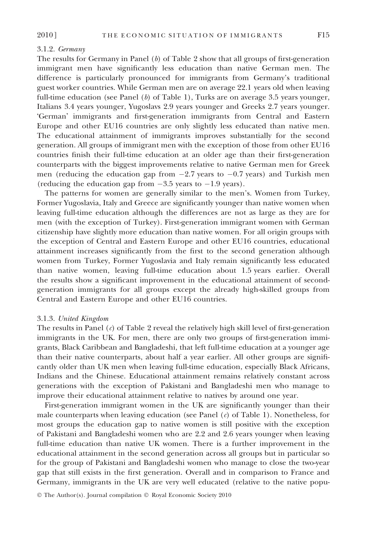# 3.1.2. Germany

The results for Germany in Panel (b) of Table 2 show that all groups of first-generation immigrant men have significantly less education than native German men. The difference is particularly pronounced for immigrants from Germany's traditional guest worker countries. While German men are on average 22.1 years old when leaving full-time education (see Panel  $(b)$  of Table 1), Turks are on average 3.5 years younger, Italians 3.4 years younger, Yugoslavs 2.9 years younger and Greeks 2.7 years younger. 'German' immigrants and first-generation immigrants from Central and Eastern Europe and other EU16 countries are only slightly less educated than native men. The educational attainment of immigrants improves substantially for the second generation. All groups of immigrant men with the exception of those from other EU16 countries finish their full-time education at an older age than their first-generation counterparts with the biggest improvements relative to native German men for Greek men (reducing the education gap from  $-2.7$  years to  $-0.7$  years) and Turkish men (reducing the education gap from  $-3.5$  years to  $-1.9$  years).

The patterns for women are generally similar to the men's. Women from Turkey, Former Yugoslavia, Italy and Greece are significantly younger than native women when leaving full-time education although the differences are not as large as they are for men (with the exception of Turkey). First-generation immigrant women with German citizenship have slightly more education than native women. For all origin groups with the exception of Central and Eastern Europe and other EU16 countries, educational attainment increases significantly from the first to the second generation although women from Turkey, Former Yugoslavia and Italy remain significantly less educated than native women, leaving full-time education about 1.5 years earlier. Overall the results show a significant improvement in the educational attainment of secondgeneration immigrants for all groups except the already high-skilled groups from Central and Eastern Europe and other EU16 countries.

#### 3.1.3. United Kingdom

The results in Panel  $(c)$  of Table 2 reveal the relatively high skill level of first-generation immigrants in the UK. For men, there are only two groups of first-generation immigrants, Black Caribbean and Bangladeshi, that left full-time education at a younger age than their native counterparts, about half a year earlier. All other groups are significantly older than UK men when leaving full-time education, especially Black Africans, Indians and the Chinese. Educational attainment remains relatively constant across generations with the exception of Pakistani and Bangladeshi men who manage to improve their educational attainment relative to natives by around one year.

First-generation immigrant women in the UK are significantly younger than their male counterparts when leaving education (see Panel  $(c)$  of Table 1). Nonetheless, for most groups the education gap to native women is still positive with the exception of Pakistani and Bangladeshi women who are 2.2 and 2.6 years younger when leaving full-time education than native UK women. There is a further improvement in the educational attainment in the second generation across all groups but in particular so for the group of Pakistani and Bangladeshi women who manage to close the two-year gap that still exists in the first generation. Overall and in comparison to France and Germany, immigrants in the UK are very well educated (relative to the native popu-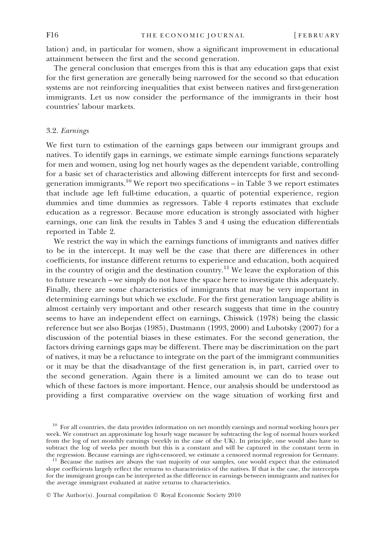lation) and, in particular for women, show a significant improvement in educational attainment between the first and the second generation.

The general conclusion that emerges from this is that any education gaps that exist for the first generation are generally being narrowed for the second so that education systems are not reinforcing inequalities that exist between natives and first-generation immigrants. Let us now consider the performance of the immigrants in their host countries' labour markets.

## 3.2. Earnings

We first turn to estimation of the earnings gaps between our immigrant groups and natives. To identify gaps in earnings, we estimate simple earnings functions separately for men and women, using log net hourly wages as the dependent variable, controlling for a basic set of characteristics and allowing different intercepts for first and secondgeneration immigrants.<sup>10</sup> We report two specifications – in Table 3 we report estimates that include age left full-time education, a quartic of potential experience, region dummies and time dummies as regressors. Table 4 reports estimates that exclude education as a regressor. Because more education is strongly associated with higher earnings, one can link the results in Tables 3 and 4 using the education differentials reported in Table 2.

We restrict the way in which the earnings functions of immigrants and natives differ to be in the intercept. It may well be the case that there are differences in other coefficients, for instance different returns to experience and education, both acquired in the country of origin and the destination country.<sup>11</sup> We leave the exploration of this to future research – we simply do not have the space here to investigate this adequately. Finally, there are some characteristics of immigrants that may be very important in determining earnings but which we exclude. For the first generation language ability is almost certainly very important and other research suggests that time in the country seems to have an independent effect on earnings, Chiswick (1978) being the classic reference but see also Borjas (1985), Dustmann (1993, 2000) and Lubotsky (2007) for a discussion of the potential biases in these estimates. For the second generation, the factors driving earnings gaps may be different. There may be discrimination on the part of natives, it may be a reluctance to integrate on the part of the immigrant communities or it may be that the disadvantage of the first generation is, in part, carried over to the second generation. Again there is a limited amount we can do to tease out which of these factors is more important. Hence, our analysis should be understood as providing a first comparative overview on the wage situation of working first and

<sup>&</sup>lt;sup>10</sup> For all countries, the data provides information on net monthly earnings and normal working hours per week. We construct an approximate log hourly wage measure by subtracting the log of normal hours worked from the log of net monthly earnings (weekly in the case of the UK). In principle, one would also have to subtract the log of weeks per month but this is a constant and will be captured in the constant term in the regression. Because earnings are right-censored, we estimate a censored normal regression for Germany.

 $11$  Because the natives are always the vast majority of our samples, one would expect that the estimated slope coefficients largely reflect the returns to characteristics of the natives. If that is the case, the intercepts for the immigrant groups can be interpreted as the difference in earnings between immigrants and natives for the average immigrant evaluated at native returns to characteristics.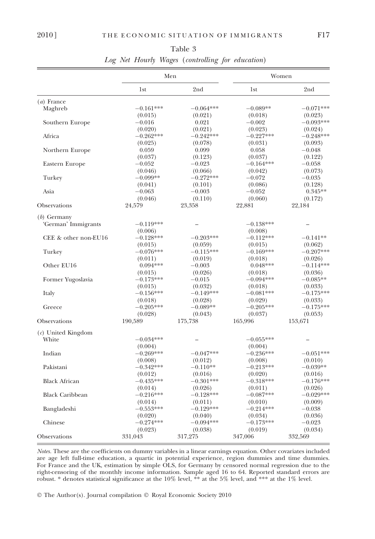|                        |             | Men             | Women           |             |  |
|------------------------|-------------|-----------------|-----------------|-------------|--|
|                        | 1st         | 2 <sub>nd</sub> | 1 <sub>st</sub> | 2nd         |  |
| $(a)$ France           |             |                 |                 |             |  |
| Maghreb                | $-0.161***$ | $-0.064***$     | $-0.089**$      | $-0.071***$ |  |
|                        | (0.015)     | (0.021)         | (0.018)         | (0.023)     |  |
| Southern Europe        | $-0.016$    | 0.021           | $-0.002$        | $-0.093***$ |  |
|                        | (0.020)     | (0.021)         | (0.023)         | (0.024)     |  |
| Africa                 | $-0.262***$ | $-0.242***$     | $-0.227***$     | $-0.248***$ |  |
|                        | (0.025)     | (0.078)         | (0.031)         | (0.093)     |  |
| Northern Europe        | 0.059       | 0.099           | 0.058           | $-0.048$    |  |
|                        | (0.037)     | (0.123)         | (0.037)         | (0.122)     |  |
| Eastern Europe         | $-0.052$    | $-0.023$        | $-0.164***$     | $-0.058$    |  |
|                        | (0.046)     | (0.066)         | (0.042)         | (0.073)     |  |
| Turkey                 | $-0.099**$  | $-0.272***$     | $-0.072$        | $-0.035$    |  |
|                        | (0.041)     | (0.101)         | (0.086)         | (0.128)     |  |
| Asia                   | $-0.063$    | $-0.003$        | $-0.052$        | $0.345**$   |  |
|                        | (0.046)     | (0.110)         | (0.060)         | (0.172)     |  |
| <b>Observations</b>    | 24,579      | 23,358          | 22,881          | 22,184      |  |
| $(b)$ Germany          |             |                 |                 |             |  |
| 'German' Immigrants    | $-0.119***$ |                 | $-0.138***$     |             |  |
|                        | (0.006)     |                 | (0.008)         |             |  |
| CEE & other non-EU16   | $-0.128***$ | $-0.203***$     | $-0.112***$     | $-0.141**$  |  |
|                        | (0.015)     | (0.059)         | (0.015)         | (0.062)     |  |
| Turkey                 | $-0.076***$ | $-0.115***$     | $-0.169***$     | $-0.207***$ |  |
|                        | (0.011)     | (0.019)         | (0.018)         | (0.026)     |  |
| Other EU16             | $0.094***$  | $-0.003$        | $0.048***$      | $-0.114***$ |  |
|                        | (0.015)     | (0.026)         | (0.018)         | (0.036)     |  |
| Former Yugoslavia      | $-0.173***$ | $-0.015$        | $-0.094***$     | $-0.085**$  |  |
|                        | (0.015)     | (0.032)         | (0.018)         | (0.033)     |  |
| Italy                  | $-0.156***$ | $-0.149***$     | $-0.081***$     | $-0.175***$ |  |
|                        | (0.018)     | (0.028)         | (0.029)         | (0.033)     |  |
| Greece                 | $-0.205***$ | $-0.089**$      | $-0.205***$     | $-0.175***$ |  |
|                        | (0.028)     | (0.043)         | (0.037)         | (0.053)     |  |
| Observations           | 190,589     | 175,738         | 165,996         | 153,671     |  |
| $(c)$ United Kingdom   |             |                 |                 |             |  |
| White                  | $-0.034***$ |                 | $-0.055***$     |             |  |
|                        | (0.004)     |                 | (0.004)         |             |  |
| Indian                 | $-0.269***$ | $-0.047***$     | $-0.236***$     | $-0.051***$ |  |
|                        | (0.008)     | (0.012)         | (0.008)         | (0.010)     |  |
| Pakistani              | $-0.342***$ | $-0.110**$      | $-0.213***$     | $-0.039**$  |  |
|                        | (0.012)     | (0.016)         | (0.020)         | (0.016)     |  |
| <b>Black African</b>   | $-0.435***$ | $-0.301***$     | $-0.318***$     | $-0.176***$ |  |
|                        | (0.014)     | (0.026)         | (0.011)         | (0.026)     |  |
| <b>Black Caribbean</b> | $-0.216***$ | $-0.128***$     | $-0.087***$     | $-0.029***$ |  |
|                        | (0.014)     | (0.011)         | (0.010)         | (0.009)     |  |
| Bangladeshi            | $-0.553***$ | $-0.129***$     | $-0.214***$     | $-0.038$    |  |
|                        | (0.020)     | (0.040)         | (0.034)         | (0.036)     |  |
| Chinese                | $-0.274***$ | $-0.094***$     | $-0.173***$     | $-0.023$    |  |
|                        | (0.023)     | (0.038)         | (0.019)         | (0.034)     |  |
| Observations           | 331,043     | 317,275         | 347,006         | 332,569     |  |

Table 3 Log Net Hourly Wages (controlling for education)

Notes. These are the coefficients on dummy variables in a linear earnings equation. Other covariates included are age left full-time education, a quartic in potential experience, region dummies and time dummies. For France and the UK, estimation by simple OLS, for Germany by censored normal regression due to the right-censoring of the monthly income information. Sample aged 16 to 64. Reported standard errors are robust. \* denotes statistical significance at the 10% level, \*\* at the 5% level, and \*\*\* at the 1% level.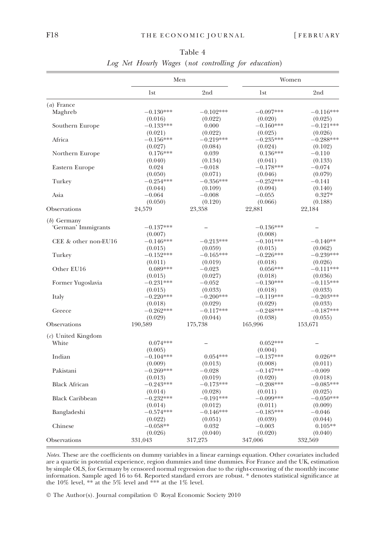|                        |             | Men         | Women                 |             |  |
|------------------------|-------------|-------------|-----------------------|-------------|--|
|                        | 1st         | 2nd         | 1 <sub>st</sub>       | 2nd         |  |
| $(a)$ France           |             |             |                       |             |  |
| Maghreb                | $-0.130***$ | $-0.102***$ | $-0.097***$           | $-0.116***$ |  |
|                        | (0.016)     | (0.022)     | (0.020)               | (0.025)     |  |
| Southern Europe        | $-0.133***$ | 0.000       | $-0.160***$           | $-0.121***$ |  |
|                        | (0.021)     | (0.022)     | (0.025)               | (0.026)     |  |
| Africa                 | $-0.156***$ | $-0.219***$ | $-0.235***$           | $-0.288***$ |  |
|                        | (0.027)     | (0.084)     | (0.024)               | (0.102)     |  |
| Northern Europe        | $0.176***$  | 0.039       | $0.136***$            | $-0.110$    |  |
|                        | (0.040)     | (0.134)     | (0.041)               | (0.133)     |  |
| Eastern Europe         | 0.024       | $-0.018$    | $-0.178***$           | $-0.074$    |  |
|                        | (0.050)     | (0.071)     | (0.046)               | (0.079)     |  |
| Turkey                 | $-0.254***$ | $-0.356***$ | $-0.252***$           | $-0.141$    |  |
|                        | (0.044)     | (0.109)     | (0.094)               | (0.140)     |  |
| Asia                   | $-0.064$    | $-0.008$    | $-0.055$              | $0.327*$    |  |
|                        | (0.050)     | (0.120)     | (0.066)               | (0.188)     |  |
| <b>Observations</b>    | 24,579      | 23,358      | 22,881                | 22,184      |  |
|                        |             |             |                       |             |  |
| $(b)$ Germany          |             |             |                       |             |  |
| 'German' Immigrants    | $-0.137***$ |             | $-0.136***$           |             |  |
|                        | (0.007)     |             | (0.008)               |             |  |
| CEE & other non-EU16   | $-0.146***$ | $-0.213***$ | $-0.101***$           | $-0.140**$  |  |
|                        | (0.015)     | (0.059)     | (0.015)               | (0.062)     |  |
| Turkey                 | $-0.152***$ | $-0.165***$ | $-0.226***$           | $-0.239***$ |  |
|                        |             |             |                       |             |  |
| Other EU16             | (0.011)     | (0.019)     | (0.018)<br>$0.056***$ | (0.026)     |  |
|                        | $0.089***$  | $-0.023$    |                       | $-0.111***$ |  |
|                        | (0.015)     | (0.027)     | (0.018)               | (0.036)     |  |
| Former Yugoslavia      | $-0.231***$ | $-0.052$    | $-0.130***$           | $-0.115***$ |  |
|                        | (0.015)     | (0.033)     | (0.018)               | (0.033)     |  |
| Italy                  | $-0.220***$ | $-0.200***$ | $-0.119***$           | $-0.203***$ |  |
|                        | (0.018)     | (0.029)     | (0.029)               | (0.033)     |  |
| Greece                 | $-0.262***$ | $-0.117***$ | $-0.248***$           | $-0.187***$ |  |
|                        | (0.029)     | (0.044)     | (0.038)               | (0.055)     |  |
| Observations           | 190,589     | 175,738     | 165,996               | 153,671     |  |
| $(c)$ United Kingdom   |             |             |                       |             |  |
| White                  | $0.074***$  |             | $0.052***$            |             |  |
|                        | (0.005)     |             | (0.004)               |             |  |
| Indian                 | $-0.104***$ | $0.054***$  | $-0.137***$           | $0.026**$   |  |
|                        | (0.009)     | (0.013)     | (0.008)               | (0.011)     |  |
| Pakistani              | $-0.269***$ | $-0.028$    | $-0.147***$           | $-0.009$    |  |
|                        |             | (0.019)     | (0.020)               | (0.018)     |  |
| <b>Black African</b>   | (0.013)     |             |                       |             |  |
|                        | $-0.243***$ | $-0.173***$ | $-0.208***$           | $-0.085***$ |  |
|                        | (0.014)     | (0.028)     | (0.011)               | (0.025)     |  |
| <b>Black Caribbean</b> | $-0.232***$ | $-0.191***$ | $-0.099***$           | $-0.050***$ |  |
|                        | (0.014)     | (0.012)     | (0.011)               | (0.009)     |  |
| Bangladeshi            | $-0.574***$ | $-0.146***$ | $-0.185***$           | $-0.046$    |  |
|                        | (0.022)     | (0.051)     | (0.039)               | (0.044)     |  |
| Chinese                | $-0.058**$  | 0.032       | $-0.003$              | $0.105**$   |  |
|                        | (0.026)     | (0.040)     | (0.020)               | (0.040)     |  |
| Observations           | 331,043     | 317,275     | 347,006               | 332,569     |  |

Table 4 Log Net Hourly Wages (not controlling for education)

Notes. These are the coefficients on dummy variables in a linear earnings equation. Other covariates included are a quartic in potential experience, region dummies and time dummies. For France and the UK, estimation by simple OLS, for Germany by censored normal regression due to the right-censoring of the monthly income information. Sample aged 16 to 64. Reported standard errors are robust. \* denotes statistical significance at the 10% level,  $**$  at the 5% level and  $**$  at the 1% level.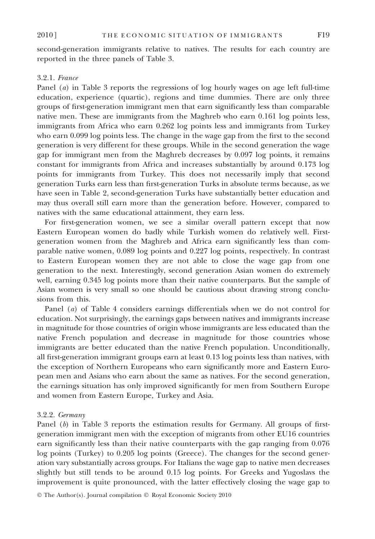second-generation immigrants relative to natives. The results for each country are reported in the three panels of Table 3.

### 3.2.1. France

Panel (a) in Table 3 reports the regressions of log hourly wages on age left full-time education, experience (quartic), regions and time dummies. There are only three groups of first-generation immigrant men that earn significantly less than comparable native men. These are immigrants from the Maghreb who earn 0.161 log points less, immigrants from Africa who earn 0.262 log points less and immigrants from Turkey who earn 0.099 log points less. The change in the wage gap from the first to the second generation is very different for these groups. While in the second generation the wage gap for immigrant men from the Maghreb decreases by 0.097 log points, it remains constant for immigrants from Africa and increases substantially by around 0.173 log points for immigrants from Turkey. This does not necessarily imply that second generation Turks earn less than first-generation Turks in absolute terms because, as we have seen in Table 2, second-generation Turks have substantially better education and may thus overall still earn more than the generation before. However, compared to natives with the same educational attainment, they earn less.

For first-generation women, we see a similar overall pattern except that now Eastern European women do badly while Turkish women do relatively well. Firstgeneration women from the Maghreb and Africa earn significantly less than comparable native women, 0.089 log points and 0.227 log points, respectively. In contrast to Eastern European women they are not able to close the wage gap from one generation to the next. Interestingly, second generation Asian women do extremely well, earning 0.345 log points more than their native counterparts. But the sample of Asian women is very small so one should be cautious about drawing strong conclusions from this.

Panel (a) of Table 4 considers earnings differentials when we do not control for education. Not surprisingly, the earnings gaps between natives and immigrants increase in magnitude for those countries of origin whose immigrants are less educated than the native French population and decrease in magnitude for those countries whose immigrants are better educated than the native French population. Unconditionally, all first-generation immigrant groups earn at least 0.13 log points less than natives, with the exception of Northern Europeans who earn significantly more and Eastern European men and Asians who earn about the same as natives. For the second generation, the earnings situation has only improved significantly for men from Southern Europe and women from Eastern Europe, Turkey and Asia.

#### 3.2.2. Germany

Panel (b) in Table 3 reports the estimation results for Germany. All groups of firstgeneration immigrant men with the exception of migrants from other EU16 countries earn significantly less than their native counterparts with the gap ranging from 0.076 log points (Turkey) to 0.205 log points (Greece). The changes for the second generation vary substantially across groups. For Italians the wage gap to native men decreases slightly but still tends to be around 0.15 log points. For Greeks and Yugoslavs the improvement is quite pronounced, with the latter effectively closing the wage gap to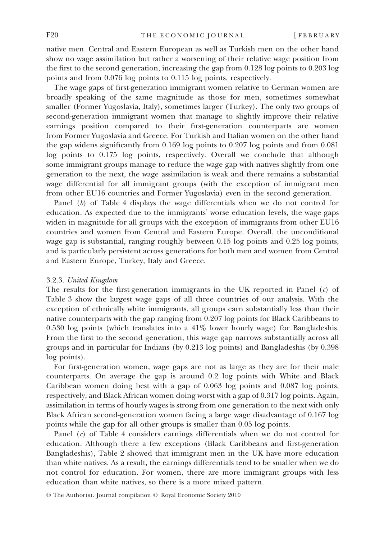native men. Central and Eastern European as well as Turkish men on the other hand show no wage assimilation but rather a worsening of their relative wage position from the first to the second generation, increasing the gap from 0.128 log points to 0.203 log points and from 0.076 log points to 0.115 log points, respectively.

The wage gaps of first-generation immigrant women relative to German women are broadly speaking of the same magnitude as those for men, sometimes somewhat smaller (Former Yugoslavia, Italy), sometimes larger (Turkey). The only two groups of second-generation immigrant women that manage to slightly improve their relative earnings position compared to their first-generation counterparts are women from Former Yugoslavia and Greece. For Turkish and Italian women on the other hand the gap widens significantly from 0.169 log points to 0.207 log points and from 0.081 log points to 0.175 log points, respectively. Overall we conclude that although some immigrant groups manage to reduce the wage gap with natives slightly from one generation to the next, the wage assimilation is weak and there remains a substantial wage differential for all immigrant groups (with the exception of immigrant men from other EU16 countries and Former Yugoslavia) even in the second generation.

Panel (b) of Table 4 displays the wage differentials when we do not control for education. As expected due to the immigrants' worse education levels, the wage gaps widen in magnitude for all groups with the exception of immigrants from other EU16 countries and women from Central and Eastern Europe. Overall, the unconditional wage gap is substantial, ranging roughly between 0.15 log points and 0.25 log points, and is particularly persistent across generations for both men and women from Central and Eastern Europe, Turkey, Italy and Greece.

#### 3.2.3. United Kingdom

The results for the first-generation immigrants in the UK reported in Panel  $(c)$  of Table 3 show the largest wage gaps of all three countries of our analysis. With the exception of ethnically white immigrants, all groups earn substantially less than their native counterparts with the gap ranging from 0.207 log points for Black Caribbeans to 0.530 log points (which translates into a 41% lower hourly wage) for Bangladeshis. From the first to the second generation, this wage gap narrows substantially across all groups and in particular for Indians (by 0.213 log points) and Bangladeshis (by 0.398 log points).

For first-generation women, wage gaps are not as large as they are for their male counterparts. On average the gap is around 0.2 log points with White and Black Caribbean women doing best with a gap of 0.063 log points and 0.087 log points, respectively, and Black African women doing worst with a gap of 0.317 log points. Again, assimilation in terms of hourly wages is strong from one generation to the next with only Black African second-generation women facing a large wage disadvantage of 0.167 log points while the gap for all other groups is smaller than 0.05 log points.

Panel (c) of Table 4 considers earnings differentials when we do not control for education. Although there a few exceptions (Black Caribbeans and first-generation Bangladeshis), Table 2 showed that immigrant men in the UK have more education than white natives. As a result, the earnings differentials tend to be smaller when we do not control for education. For women, there are more immigrant groups with less education than white natives, so there is a more mixed pattern.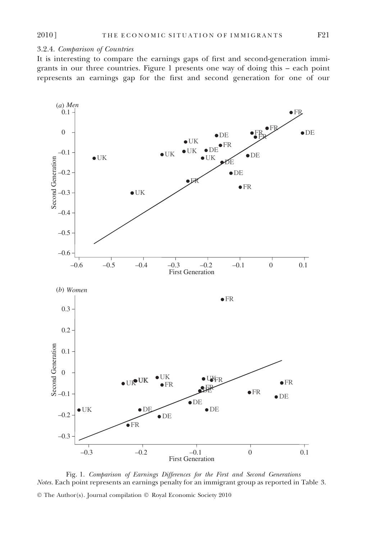## 2010] THE ECONOMIC SITUATION OF IMMIGRANTS F21

### 3.2.4. Comparison of Countries

It is interesting to compare the earnings gaps of first and second-generation immigrants in our three countries. Figure 1 presents one way of doing this – each point represents an earnings gap for the first and second generation for one of our



Fig. 1. Comparison of Earnings Differences for the First and Second Generations Notes. Each point represents an earnings penalty for an immigrant group as reported in Table 3. © The Author(s). Journal compilation © Royal Economic Society 2010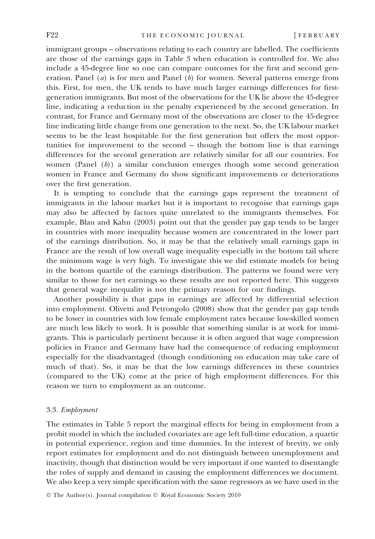immigrant groups – observations relating to each country are labelled. The coefficients are those of the earnings gaps in Table 3 when education is controlled for. We also include a 45-degree line so one can compare outcomes for the first and second generation. Panel  $(a)$  is for men and Panel  $(b)$  for women. Several patterns emerge from this. First, for men, the UK tends to have much larger earnings differences for firstgeneration immigrants. But most of the observations for the UK lie above the 45-degree line, indicating a reduction in the penalty experienced by the second generation. In contrast, for France and Germany most of the observations are closer to the 45-degree line indicating little change from one generation to the next. So, the UK labour market seems to be the least hospitable for the first generation but offers the most opportunities for improvement to the second – though the bottom line is that earnings differences for the second generation are relatively similar for all our countries. For women (Panel  $(b)$ ) a similar conclusion emerges though some second generation women in France and Germany do show significant improvements or deteriorations over the first generation.

It is tempting to conclude that the earnings gaps represent the treatment of immigrants in the labour market but it is important to recognise that earnings gaps may also be affected by factors quite unrelated to the immigrants themselves. For example, Blau and Kahn (2003) point out that the gender pay gap tends to be larger in countries with more inequality because women are concentrated in the lower part of the earnings distribution. So, it may be that the relatively small earnings gaps in France are the result of low overall wage inequality especially in the bottom tail where the minimum wage is very high. To investigate this we did estimate models for being in the bottom quartile of the earnings distribution. The patterns we found were very similar to those for net earnings so these results are not reported here. This suggests that general wage inequality is not the primary reason for our findings.

Another possibility is that gaps in earnings are affected by differential selection into employment. Olivetti and Petrongolo (2008) show that the gender pay gap tends to be lower in countries with low female employment rates because low-skilled women are much less likely to work. It is possible that something similar is at work for immigrants. This is particularly pertinent because it is often argued that wage compression policies in France and Germany have had the consequence of reducing employment especially for the disadvantaged (though conditioning on education may take care of much of that). So, it may be that the low earnings differences in these countries (compared to the UK) come at the price of high employment differences. For this reason we turn to employment as an outcome.

#### 3.3. Employment

The estimates in Table 5 report the marginal effects for being in employment from a probit model in which the included covariates are age left full-time education, a quartic in potential experience, region and time dummies. In the interest of brevity, we only report estimates for employment and do not distinguish between unemployment and inactivity, though that distinction would be very important if one wanted to disentangle the roles of supply and demand in causing the employment differences we document. We also keep a very simple specification with the same regressors as we have used in the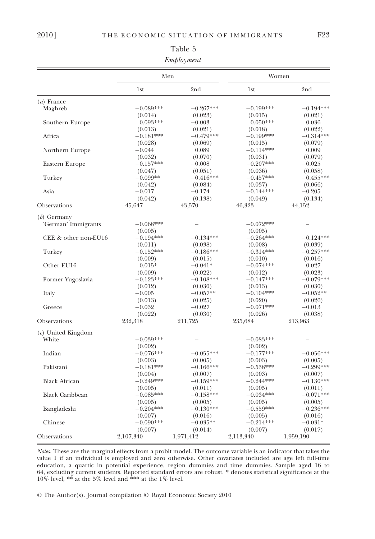| 1 <sub>st</sub><br>2nd<br>1 <sub>st</sub><br>2 <sub>nd</sub><br>$(a)$ France<br>$-0.089***$<br>$-0.194***$<br>Maghreb<br>$-0.267***$<br>$-0.199***$<br>(0.014)<br>(0.023)<br>(0.021)<br>(0.015)<br>$0.093***$<br>Southern Europe<br>$-0.003$<br>$0.050***$<br>0.036<br>(0.013)<br>(0.021)<br>(0.018)<br>(0.022)<br>$-0.314***$<br>Africa<br>$-0.479***$<br>$-0.199***$<br>$-0.181***$<br>(0.028)<br>(0.069)<br>(0.015)<br>(0.079)<br>Northern Europe<br>0.089<br>$-0.114***$<br>0.009<br>$-0.044$<br>(0.032)<br>(0.070)<br>(0.079)<br>(0.031)<br>Eastern Europe<br>$-0.157***$<br>$-0.008$<br>$-0.207***$<br>$-0.025$<br>(0.047)<br>(0.051)<br>(0.036)<br>(0.058)<br>$-0.416***$<br>$-0.455***$<br>Turkey<br>$-0.099**$<br>$-0.457***$<br>(0.042)<br>(0.084)<br>(0.037)<br>(0.066)<br>Asia<br>$-0.017$<br>$-0.174$<br>$-0.144***$<br>$-0.205$<br>(0.042)<br>(0.138)<br>(0.049)<br>(0.134)<br>Observations<br>45,647<br>43,570<br>46,323<br>44,152<br>$(b)$ Germany<br>'German' Immigrants<br>$-0.068***$<br>$-0.072***$<br>(0.005)<br>(0.005)<br>CEE & other non-EU16<br>$-0.194***$<br>$-0.134***$<br>$-0.264***$<br>$-0.124***$<br>(0.011)<br>(0.038)<br>(0.008)<br>(0.039)<br>$-0.152***$<br>$-0.186***$<br>$-0.314***$<br>$-0.257***$<br>Turkey<br>(0.009)<br>(0.015)<br>(0.010)<br>(0.016)<br>Other EU16<br>$0.015*$<br>$-0.041*$<br>$-0.074***$<br>0.027<br>(0.022)<br>(0.023)<br>(0.009)<br>(0.012)<br>$-0.079***$<br>$-0.123***$<br>$-0.108***$<br>$-0.147***$<br>Former Yugoslavia<br>(0.012)<br>(0.030)<br>(0.013)<br>(0.030)<br>$-0.057**$<br>$-0.104***$<br>Italy<br>$-0.005$<br>$-0.052**$<br>(0.013)<br>(0.025)<br>(0.026)<br>(0.020)<br>Greece<br>$-0.071***$<br>$-0.013$<br>$-0.032$<br>$-0.027$<br>(0.022)<br>(0.030)<br>(0.026)<br>(0.038)<br>232,318<br>211,725<br>235,684<br>213,963<br>Observations<br>$(c)$ United Kingdom<br>White<br>$-0.039***$<br>$-0.083***$<br>(0.002)<br>(0.002)<br>Indian<br>$-0.076***$<br>$-0.055***$<br>$-0.177***$<br>$-0.056***$<br>(0.003)<br>(0.005)<br>(0.003)<br>(0.005)<br>Pakistani<br>$-0.181***$<br>$-0.166***$<br>$-0.538***$<br>$-0.299***$<br>(0.004)<br>(0.007)<br>(0.003)<br>(0.007)<br><b>Black African</b><br>$-0.249***$<br>$-0.159***$<br>$-0.244***$<br>$-0.130***$<br>(0.005)<br>(0.011)<br>(0.005)<br>(0.011)<br><b>Black Caribbean</b><br>$-0.158***$<br>$-0.071***$<br>$-0.085***$<br>$-0.034***$ |  | Men | Women |  |  |
|----------------------------------------------------------------------------------------------------------------------------------------------------------------------------------------------------------------------------------------------------------------------------------------------------------------------------------------------------------------------------------------------------------------------------------------------------------------------------------------------------------------------------------------------------------------------------------------------------------------------------------------------------------------------------------------------------------------------------------------------------------------------------------------------------------------------------------------------------------------------------------------------------------------------------------------------------------------------------------------------------------------------------------------------------------------------------------------------------------------------------------------------------------------------------------------------------------------------------------------------------------------------------------------------------------------------------------------------------------------------------------------------------------------------------------------------------------------------------------------------------------------------------------------------------------------------------------------------------------------------------------------------------------------------------------------------------------------------------------------------------------------------------------------------------------------------------------------------------------------------------------------------------------------------------------------------------------------------------------------------------------------------------------------------------------------------------------------------------------------------------------------------------------------------------------------------------------------------------------------------------------------------------------------------------------------------------------------------------------------------------|--|-----|-------|--|--|
|                                                                                                                                                                                                                                                                                                                                                                                                                                                                                                                                                                                                                                                                                                                                                                                                                                                                                                                                                                                                                                                                                                                                                                                                                                                                                                                                                                                                                                                                                                                                                                                                                                                                                                                                                                                                                                                                                                                                                                                                                                                                                                                                                                                                                                                                                                                                                                            |  |     |       |  |  |
|                                                                                                                                                                                                                                                                                                                                                                                                                                                                                                                                                                                                                                                                                                                                                                                                                                                                                                                                                                                                                                                                                                                                                                                                                                                                                                                                                                                                                                                                                                                                                                                                                                                                                                                                                                                                                                                                                                                                                                                                                                                                                                                                                                                                                                                                                                                                                                            |  |     |       |  |  |
|                                                                                                                                                                                                                                                                                                                                                                                                                                                                                                                                                                                                                                                                                                                                                                                                                                                                                                                                                                                                                                                                                                                                                                                                                                                                                                                                                                                                                                                                                                                                                                                                                                                                                                                                                                                                                                                                                                                                                                                                                                                                                                                                                                                                                                                                                                                                                                            |  |     |       |  |  |
|                                                                                                                                                                                                                                                                                                                                                                                                                                                                                                                                                                                                                                                                                                                                                                                                                                                                                                                                                                                                                                                                                                                                                                                                                                                                                                                                                                                                                                                                                                                                                                                                                                                                                                                                                                                                                                                                                                                                                                                                                                                                                                                                                                                                                                                                                                                                                                            |  |     |       |  |  |
|                                                                                                                                                                                                                                                                                                                                                                                                                                                                                                                                                                                                                                                                                                                                                                                                                                                                                                                                                                                                                                                                                                                                                                                                                                                                                                                                                                                                                                                                                                                                                                                                                                                                                                                                                                                                                                                                                                                                                                                                                                                                                                                                                                                                                                                                                                                                                                            |  |     |       |  |  |
|                                                                                                                                                                                                                                                                                                                                                                                                                                                                                                                                                                                                                                                                                                                                                                                                                                                                                                                                                                                                                                                                                                                                                                                                                                                                                                                                                                                                                                                                                                                                                                                                                                                                                                                                                                                                                                                                                                                                                                                                                                                                                                                                                                                                                                                                                                                                                                            |  |     |       |  |  |
|                                                                                                                                                                                                                                                                                                                                                                                                                                                                                                                                                                                                                                                                                                                                                                                                                                                                                                                                                                                                                                                                                                                                                                                                                                                                                                                                                                                                                                                                                                                                                                                                                                                                                                                                                                                                                                                                                                                                                                                                                                                                                                                                                                                                                                                                                                                                                                            |  |     |       |  |  |
|                                                                                                                                                                                                                                                                                                                                                                                                                                                                                                                                                                                                                                                                                                                                                                                                                                                                                                                                                                                                                                                                                                                                                                                                                                                                                                                                                                                                                                                                                                                                                                                                                                                                                                                                                                                                                                                                                                                                                                                                                                                                                                                                                                                                                                                                                                                                                                            |  |     |       |  |  |
|                                                                                                                                                                                                                                                                                                                                                                                                                                                                                                                                                                                                                                                                                                                                                                                                                                                                                                                                                                                                                                                                                                                                                                                                                                                                                                                                                                                                                                                                                                                                                                                                                                                                                                                                                                                                                                                                                                                                                                                                                                                                                                                                                                                                                                                                                                                                                                            |  |     |       |  |  |
|                                                                                                                                                                                                                                                                                                                                                                                                                                                                                                                                                                                                                                                                                                                                                                                                                                                                                                                                                                                                                                                                                                                                                                                                                                                                                                                                                                                                                                                                                                                                                                                                                                                                                                                                                                                                                                                                                                                                                                                                                                                                                                                                                                                                                                                                                                                                                                            |  |     |       |  |  |
|                                                                                                                                                                                                                                                                                                                                                                                                                                                                                                                                                                                                                                                                                                                                                                                                                                                                                                                                                                                                                                                                                                                                                                                                                                                                                                                                                                                                                                                                                                                                                                                                                                                                                                                                                                                                                                                                                                                                                                                                                                                                                                                                                                                                                                                                                                                                                                            |  |     |       |  |  |
|                                                                                                                                                                                                                                                                                                                                                                                                                                                                                                                                                                                                                                                                                                                                                                                                                                                                                                                                                                                                                                                                                                                                                                                                                                                                                                                                                                                                                                                                                                                                                                                                                                                                                                                                                                                                                                                                                                                                                                                                                                                                                                                                                                                                                                                                                                                                                                            |  |     |       |  |  |
|                                                                                                                                                                                                                                                                                                                                                                                                                                                                                                                                                                                                                                                                                                                                                                                                                                                                                                                                                                                                                                                                                                                                                                                                                                                                                                                                                                                                                                                                                                                                                                                                                                                                                                                                                                                                                                                                                                                                                                                                                                                                                                                                                                                                                                                                                                                                                                            |  |     |       |  |  |
|                                                                                                                                                                                                                                                                                                                                                                                                                                                                                                                                                                                                                                                                                                                                                                                                                                                                                                                                                                                                                                                                                                                                                                                                                                                                                                                                                                                                                                                                                                                                                                                                                                                                                                                                                                                                                                                                                                                                                                                                                                                                                                                                                                                                                                                                                                                                                                            |  |     |       |  |  |
|                                                                                                                                                                                                                                                                                                                                                                                                                                                                                                                                                                                                                                                                                                                                                                                                                                                                                                                                                                                                                                                                                                                                                                                                                                                                                                                                                                                                                                                                                                                                                                                                                                                                                                                                                                                                                                                                                                                                                                                                                                                                                                                                                                                                                                                                                                                                                                            |  |     |       |  |  |
|                                                                                                                                                                                                                                                                                                                                                                                                                                                                                                                                                                                                                                                                                                                                                                                                                                                                                                                                                                                                                                                                                                                                                                                                                                                                                                                                                                                                                                                                                                                                                                                                                                                                                                                                                                                                                                                                                                                                                                                                                                                                                                                                                                                                                                                                                                                                                                            |  |     |       |  |  |
|                                                                                                                                                                                                                                                                                                                                                                                                                                                                                                                                                                                                                                                                                                                                                                                                                                                                                                                                                                                                                                                                                                                                                                                                                                                                                                                                                                                                                                                                                                                                                                                                                                                                                                                                                                                                                                                                                                                                                                                                                                                                                                                                                                                                                                                                                                                                                                            |  |     |       |  |  |
|                                                                                                                                                                                                                                                                                                                                                                                                                                                                                                                                                                                                                                                                                                                                                                                                                                                                                                                                                                                                                                                                                                                                                                                                                                                                                                                                                                                                                                                                                                                                                                                                                                                                                                                                                                                                                                                                                                                                                                                                                                                                                                                                                                                                                                                                                                                                                                            |  |     |       |  |  |
|                                                                                                                                                                                                                                                                                                                                                                                                                                                                                                                                                                                                                                                                                                                                                                                                                                                                                                                                                                                                                                                                                                                                                                                                                                                                                                                                                                                                                                                                                                                                                                                                                                                                                                                                                                                                                                                                                                                                                                                                                                                                                                                                                                                                                                                                                                                                                                            |  |     |       |  |  |
|                                                                                                                                                                                                                                                                                                                                                                                                                                                                                                                                                                                                                                                                                                                                                                                                                                                                                                                                                                                                                                                                                                                                                                                                                                                                                                                                                                                                                                                                                                                                                                                                                                                                                                                                                                                                                                                                                                                                                                                                                                                                                                                                                                                                                                                                                                                                                                            |  |     |       |  |  |
|                                                                                                                                                                                                                                                                                                                                                                                                                                                                                                                                                                                                                                                                                                                                                                                                                                                                                                                                                                                                                                                                                                                                                                                                                                                                                                                                                                                                                                                                                                                                                                                                                                                                                                                                                                                                                                                                                                                                                                                                                                                                                                                                                                                                                                                                                                                                                                            |  |     |       |  |  |
|                                                                                                                                                                                                                                                                                                                                                                                                                                                                                                                                                                                                                                                                                                                                                                                                                                                                                                                                                                                                                                                                                                                                                                                                                                                                                                                                                                                                                                                                                                                                                                                                                                                                                                                                                                                                                                                                                                                                                                                                                                                                                                                                                                                                                                                                                                                                                                            |  |     |       |  |  |
|                                                                                                                                                                                                                                                                                                                                                                                                                                                                                                                                                                                                                                                                                                                                                                                                                                                                                                                                                                                                                                                                                                                                                                                                                                                                                                                                                                                                                                                                                                                                                                                                                                                                                                                                                                                                                                                                                                                                                                                                                                                                                                                                                                                                                                                                                                                                                                            |  |     |       |  |  |
|                                                                                                                                                                                                                                                                                                                                                                                                                                                                                                                                                                                                                                                                                                                                                                                                                                                                                                                                                                                                                                                                                                                                                                                                                                                                                                                                                                                                                                                                                                                                                                                                                                                                                                                                                                                                                                                                                                                                                                                                                                                                                                                                                                                                                                                                                                                                                                            |  |     |       |  |  |
|                                                                                                                                                                                                                                                                                                                                                                                                                                                                                                                                                                                                                                                                                                                                                                                                                                                                                                                                                                                                                                                                                                                                                                                                                                                                                                                                                                                                                                                                                                                                                                                                                                                                                                                                                                                                                                                                                                                                                                                                                                                                                                                                                                                                                                                                                                                                                                            |  |     |       |  |  |
|                                                                                                                                                                                                                                                                                                                                                                                                                                                                                                                                                                                                                                                                                                                                                                                                                                                                                                                                                                                                                                                                                                                                                                                                                                                                                                                                                                                                                                                                                                                                                                                                                                                                                                                                                                                                                                                                                                                                                                                                                                                                                                                                                                                                                                                                                                                                                                            |  |     |       |  |  |
|                                                                                                                                                                                                                                                                                                                                                                                                                                                                                                                                                                                                                                                                                                                                                                                                                                                                                                                                                                                                                                                                                                                                                                                                                                                                                                                                                                                                                                                                                                                                                                                                                                                                                                                                                                                                                                                                                                                                                                                                                                                                                                                                                                                                                                                                                                                                                                            |  |     |       |  |  |
|                                                                                                                                                                                                                                                                                                                                                                                                                                                                                                                                                                                                                                                                                                                                                                                                                                                                                                                                                                                                                                                                                                                                                                                                                                                                                                                                                                                                                                                                                                                                                                                                                                                                                                                                                                                                                                                                                                                                                                                                                                                                                                                                                                                                                                                                                                                                                                            |  |     |       |  |  |
|                                                                                                                                                                                                                                                                                                                                                                                                                                                                                                                                                                                                                                                                                                                                                                                                                                                                                                                                                                                                                                                                                                                                                                                                                                                                                                                                                                                                                                                                                                                                                                                                                                                                                                                                                                                                                                                                                                                                                                                                                                                                                                                                                                                                                                                                                                                                                                            |  |     |       |  |  |
|                                                                                                                                                                                                                                                                                                                                                                                                                                                                                                                                                                                                                                                                                                                                                                                                                                                                                                                                                                                                                                                                                                                                                                                                                                                                                                                                                                                                                                                                                                                                                                                                                                                                                                                                                                                                                                                                                                                                                                                                                                                                                                                                                                                                                                                                                                                                                                            |  |     |       |  |  |
|                                                                                                                                                                                                                                                                                                                                                                                                                                                                                                                                                                                                                                                                                                                                                                                                                                                                                                                                                                                                                                                                                                                                                                                                                                                                                                                                                                                                                                                                                                                                                                                                                                                                                                                                                                                                                                                                                                                                                                                                                                                                                                                                                                                                                                                                                                                                                                            |  |     |       |  |  |
|                                                                                                                                                                                                                                                                                                                                                                                                                                                                                                                                                                                                                                                                                                                                                                                                                                                                                                                                                                                                                                                                                                                                                                                                                                                                                                                                                                                                                                                                                                                                                                                                                                                                                                                                                                                                                                                                                                                                                                                                                                                                                                                                                                                                                                                                                                                                                                            |  |     |       |  |  |
|                                                                                                                                                                                                                                                                                                                                                                                                                                                                                                                                                                                                                                                                                                                                                                                                                                                                                                                                                                                                                                                                                                                                                                                                                                                                                                                                                                                                                                                                                                                                                                                                                                                                                                                                                                                                                                                                                                                                                                                                                                                                                                                                                                                                                                                                                                                                                                            |  |     |       |  |  |
|                                                                                                                                                                                                                                                                                                                                                                                                                                                                                                                                                                                                                                                                                                                                                                                                                                                                                                                                                                                                                                                                                                                                                                                                                                                                                                                                                                                                                                                                                                                                                                                                                                                                                                                                                                                                                                                                                                                                                                                                                                                                                                                                                                                                                                                                                                                                                                            |  |     |       |  |  |
|                                                                                                                                                                                                                                                                                                                                                                                                                                                                                                                                                                                                                                                                                                                                                                                                                                                                                                                                                                                                                                                                                                                                                                                                                                                                                                                                                                                                                                                                                                                                                                                                                                                                                                                                                                                                                                                                                                                                                                                                                                                                                                                                                                                                                                                                                                                                                                            |  |     |       |  |  |
|                                                                                                                                                                                                                                                                                                                                                                                                                                                                                                                                                                                                                                                                                                                                                                                                                                                                                                                                                                                                                                                                                                                                                                                                                                                                                                                                                                                                                                                                                                                                                                                                                                                                                                                                                                                                                                                                                                                                                                                                                                                                                                                                                                                                                                                                                                                                                                            |  |     |       |  |  |
|                                                                                                                                                                                                                                                                                                                                                                                                                                                                                                                                                                                                                                                                                                                                                                                                                                                                                                                                                                                                                                                                                                                                                                                                                                                                                                                                                                                                                                                                                                                                                                                                                                                                                                                                                                                                                                                                                                                                                                                                                                                                                                                                                                                                                                                                                                                                                                            |  |     |       |  |  |
|                                                                                                                                                                                                                                                                                                                                                                                                                                                                                                                                                                                                                                                                                                                                                                                                                                                                                                                                                                                                                                                                                                                                                                                                                                                                                                                                                                                                                                                                                                                                                                                                                                                                                                                                                                                                                                                                                                                                                                                                                                                                                                                                                                                                                                                                                                                                                                            |  |     |       |  |  |
|                                                                                                                                                                                                                                                                                                                                                                                                                                                                                                                                                                                                                                                                                                                                                                                                                                                                                                                                                                                                                                                                                                                                                                                                                                                                                                                                                                                                                                                                                                                                                                                                                                                                                                                                                                                                                                                                                                                                                                                                                                                                                                                                                                                                                                                                                                                                                                            |  |     |       |  |  |
|                                                                                                                                                                                                                                                                                                                                                                                                                                                                                                                                                                                                                                                                                                                                                                                                                                                                                                                                                                                                                                                                                                                                                                                                                                                                                                                                                                                                                                                                                                                                                                                                                                                                                                                                                                                                                                                                                                                                                                                                                                                                                                                                                                                                                                                                                                                                                                            |  |     |       |  |  |
|                                                                                                                                                                                                                                                                                                                                                                                                                                                                                                                                                                                                                                                                                                                                                                                                                                                                                                                                                                                                                                                                                                                                                                                                                                                                                                                                                                                                                                                                                                                                                                                                                                                                                                                                                                                                                                                                                                                                                                                                                                                                                                                                                                                                                                                                                                                                                                            |  |     |       |  |  |
|                                                                                                                                                                                                                                                                                                                                                                                                                                                                                                                                                                                                                                                                                                                                                                                                                                                                                                                                                                                                                                                                                                                                                                                                                                                                                                                                                                                                                                                                                                                                                                                                                                                                                                                                                                                                                                                                                                                                                                                                                                                                                                                                                                                                                                                                                                                                                                            |  |     |       |  |  |
|                                                                                                                                                                                                                                                                                                                                                                                                                                                                                                                                                                                                                                                                                                                                                                                                                                                                                                                                                                                                                                                                                                                                                                                                                                                                                                                                                                                                                                                                                                                                                                                                                                                                                                                                                                                                                                                                                                                                                                                                                                                                                                                                                                                                                                                                                                                                                                            |  |     |       |  |  |
| (0.005)<br>(0.005)<br>(0.005)<br>(0.005)                                                                                                                                                                                                                                                                                                                                                                                                                                                                                                                                                                                                                                                                                                                                                                                                                                                                                                                                                                                                                                                                                                                                                                                                                                                                                                                                                                                                                                                                                                                                                                                                                                                                                                                                                                                                                                                                                                                                                                                                                                                                                                                                                                                                                                                                                                                                   |  |     |       |  |  |
| $-0.204***$<br>$-0.130***$<br>$-0.236***$<br>Bangladeshi<br>$-0.559***$                                                                                                                                                                                                                                                                                                                                                                                                                                                                                                                                                                                                                                                                                                                                                                                                                                                                                                                                                                                                                                                                                                                                                                                                                                                                                                                                                                                                                                                                                                                                                                                                                                                                                                                                                                                                                                                                                                                                                                                                                                                                                                                                                                                                                                                                                                    |  |     |       |  |  |
| (0.007)<br>(0.016)<br>(0.005)<br>(0.016)                                                                                                                                                                                                                                                                                                                                                                                                                                                                                                                                                                                                                                                                                                                                                                                                                                                                                                                                                                                                                                                                                                                                                                                                                                                                                                                                                                                                                                                                                                                                                                                                                                                                                                                                                                                                                                                                                                                                                                                                                                                                                                                                                                                                                                                                                                                                   |  |     |       |  |  |
| $-0.090***$<br>$-0.214***$<br>Chinese<br>$-0.035**$<br>$-0.031*$                                                                                                                                                                                                                                                                                                                                                                                                                                                                                                                                                                                                                                                                                                                                                                                                                                                                                                                                                                                                                                                                                                                                                                                                                                                                                                                                                                                                                                                                                                                                                                                                                                                                                                                                                                                                                                                                                                                                                                                                                                                                                                                                                                                                                                                                                                           |  |     |       |  |  |
| (0.007)<br>(0.014)<br>(0.007)<br>(0.017)                                                                                                                                                                                                                                                                                                                                                                                                                                                                                                                                                                                                                                                                                                                                                                                                                                                                                                                                                                                                                                                                                                                                                                                                                                                                                                                                                                                                                                                                                                                                                                                                                                                                                                                                                                                                                                                                                                                                                                                                                                                                                                                                                                                                                                                                                                                                   |  |     |       |  |  |
| 2,107,340<br>1,971,412<br>1,959,190<br>Observations<br>2,113,340                                                                                                                                                                                                                                                                                                                                                                                                                                                                                                                                                                                                                                                                                                                                                                                                                                                                                                                                                                                                                                                                                                                                                                                                                                                                                                                                                                                                                                                                                                                                                                                                                                                                                                                                                                                                                                                                                                                                                                                                                                                                                                                                                                                                                                                                                                           |  |     |       |  |  |

# Table 5 Employment

Notes. These are the marginal effects from a probit model. The outcome variable is an indicator that takes the value 1 if an individual is employed and zero otherwise. Other covariates included are age left full-time education, a quartic in potential experience, region dummies and time dummies. Sample aged 16 to 64, excluding current students. Reported standard errors are robust. \* denotes statistical significance at the 10% level, \*\* at the 5% level and \*\*\* at the 1% level.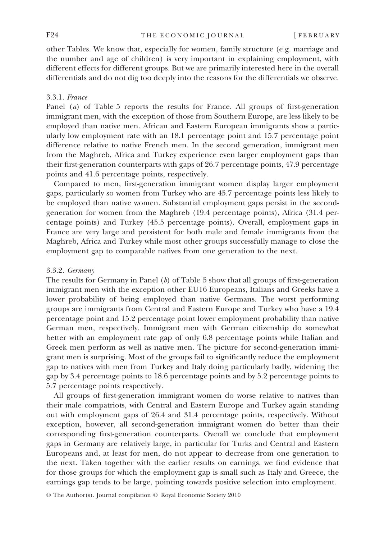other Tables. We know that, especially for women, family structure (e.g. marriage and the number and age of children) is very important in explaining employment, with different effects for different groups. But we are primarily interested here in the overall differentials and do not dig too deeply into the reasons for the differentials we observe.

## 3.3.1. France

Panel (a) of Table 5 reports the results for France. All groups of first-generation immigrant men, with the exception of those from Southern Europe, are less likely to be employed than native men. African and Eastern European immigrants show a particularly low employment rate with an 18.1 percentage point and 15.7 percentage point difference relative to native French men. In the second generation, immigrant men from the Maghreb, Africa and Turkey experience even larger employment gaps than their first-generation counterparts with gaps of 26.7 percentage points, 47.9 percentage points and 41.6 percentage points, respectively.

Compared to men, first-generation immigrant women display larger employment gaps, particularly so women from Turkey who are 45.7 percentage points less likely to be employed than native women. Substantial employment gaps persist in the secondgeneration for women from the Maghreb (19.4 percentage points), Africa (31.4 percentage points) and Turkey (45.5 percentage points). Overall, employment gaps in France are very large and persistent for both male and female immigrants from the Maghreb, Africa and Turkey while most other groups successfully manage to close the employment gap to comparable natives from one generation to the next.

### 3.3.2. Germany

The results for Germany in Panel (b) of Table 5 show that all groups of first-generation immigrant men with the exception other EU16 Europeans, Italians and Greeks have a lower probability of being employed than native Germans. The worst performing groups are immigrants from Central and Eastern Europe and Turkey who have a 19.4 percentage point and 15.2 percentage point lower employment probability than native German men, respectively. Immigrant men with German citizenship do somewhat better with an employment rate gap of only 6.8 percentage points while Italian and Greek men perform as well as native men. The picture for second-generation immigrant men is surprising. Most of the groups fail to significantly reduce the employment gap to natives with men from Turkey and Italy doing particularly badly, widening the gap by 3.4 percentage points to 18.6 percentage points and by 5.2 percentage points to 5.7 percentage points respectively.

All groups of first-generation immigrant women do worse relative to natives than their male compatriots, with Central and Eastern Europe and Turkey again standing out with employment gaps of 26.4 and 31.4 percentage points, respectively. Without exception, however, all second-generation immigrant women do better than their corresponding first-generation counterparts. Overall we conclude that employment gaps in Germany are relatively large, in particular for Turks and Central and Eastern Europeans and, at least for men, do not appear to decrease from one generation to the next. Taken together with the earlier results on earnings, we find evidence that for those groups for which the employment gap is small such as Italy and Greece, the earnings gap tends to be large, pointing towards positive selection into employment.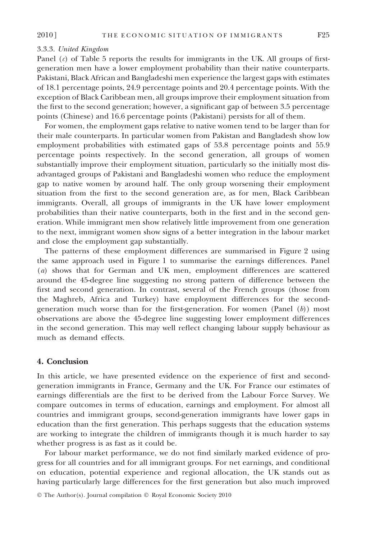## 3.3.3. United Kingdom

Panel  $(c)$  of Table 5 reports the results for immigrants in the UK. All groups of firstgeneration men have a lower employment probability than their native counterparts. Pakistani, Black African and Bangladeshi men experience the largest gaps with estimates of 18.1 percentage points, 24.9 percentage points and 20.4 percentage points. With the exception of Black Caribbean men, all groups improve their employment situation from the first to the second generation; however, a significant gap of between 3.5 percentage points (Chinese) and 16.6 percentage points (Pakistani) persists for all of them.

For women, the employment gaps relative to native women tend to be larger than for their male counterparts. In particular women from Pakistan and Bangladesh show low employment probabilities with estimated gaps of 53.8 percentage points and 55.9 percentage points respectively. In the second generation, all groups of women substantially improve their employment situation, particularly so the initially most disadvantaged groups of Pakistani and Bangladeshi women who reduce the employment gap to native women by around half. The only group worsening their employment situation from the first to the second generation are, as for men, Black Caribbean immigrants. Overall, all groups of immigrants in the UK have lower employment probabilities than their native counterparts, both in the first and in the second generation. While immigrant men show relatively little improvement from one generation to the next, immigrant women show signs of a better integration in the labour market and close the employment gap substantially.

The patterns of these employment differences are summarised in Figure 2 using the same approach used in Figure 1 to summarise the earnings differences. Panel (a) shows that for German and UK men, employment differences are scattered around the 45-degree line suggesting no strong pattern of difference between the first and second generation. In contrast, several of the French groups (those from the Maghreb, Africa and Turkey) have employment differences for the secondgeneration much worse than for the first-generation. For women (Panel (b)) most observations are above the 45-degree line suggesting lower employment differences in the second generation. This may well reflect changing labour supply behaviour as much as demand effects.

## 4. Conclusion

In this article, we have presented evidence on the experience of first and secondgeneration immigrants in France, Germany and the UK. For France our estimates of earnings differentials are the first to be derived from the Labour Force Survey. We compare outcomes in terms of education, earnings and employment. For almost all countries and immigrant groups, second-generation immigrants have lower gaps in education than the first generation. This perhaps suggests that the education systems are working to integrate the children of immigrants though it is much harder to say whether progress is as fast as it could be.

For labour market performance, we do not find similarly marked evidence of progress for all countries and for all immigrant groups. For net earnings, and conditional on education, potential experience and regional allocation, the UK stands out as having particularly large differences for the first generation but also much improved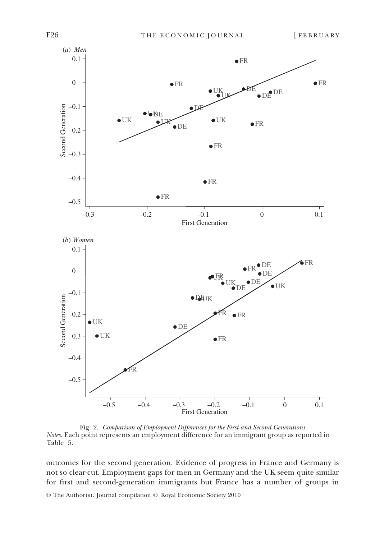

Fig. 2. Comparison of Employment Differences for the First and Second Generations Notes. Each point represents an employment difference for an immigrant group as reported in Table 5.

outcomes for the second generation. Evidence of progress in France and Germany is not so clear-cut. Employment gaps for men in Germany and the UK seem quite similar for first and second-generation immigrants but France has a number of groups in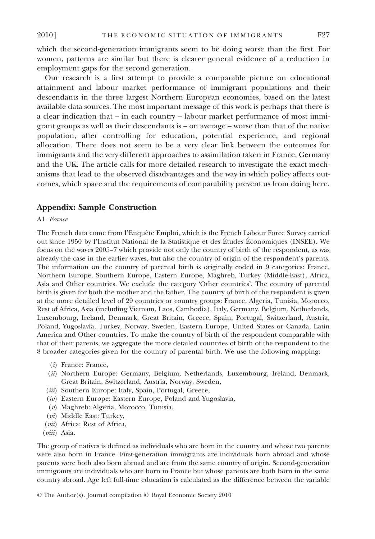2010 ] THE ECONOMIC SITUATION OF IMMIGRANTS F27

which the second-generation immigrants seem to be doing worse than the first. For women, patterns are similar but there is clearer general evidence of a reduction in employment gaps for the second generation.

Our research is a first attempt to provide a comparable picture on educational attainment and labour market performance of immigrant populations and their descendants in the three largest Northern European economies, based on the latest available data sources. The most important message of this work is perhaps that there is a clear indication that – in each country – labour market performance of most immigrant groups as well as their descendants is – on average – worse than that of the native population, after controlling for education, potential experience, and regional allocation. There does not seem to be a very clear link between the outcomes for immigrants and the very different approaches to assimilation taken in France, Germany and the UK. The article calls for more detailed research to investigate the exact mechanisms that lead to the observed disadvantages and the way in which policy affects outcomes, which space and the requirements of comparability prevent us from doing here.

## Appendix: Sample Construction

#### A1. France

The French data come from l'Enquête Emploi, which is the French Labour Force Survey carried out since 1950 by l'Institut National de la Statistique et des E´tudes E´ conomiques (INSEE). We focus on the waves 2005–7 which provide not only the country of birth of the respondent, as was already the case in the earlier waves, but also the country of origin of the respondent's parents. The information on the country of parental birth is originally coded in 9 categories: France, Northern Europe, Southern Europe, Eastern Europe, Maghreb, Turkey (Middle-East), Africa, Asia and Other countries. We exclude the category Other countries-. The country of parental birth is given for both the mother and the father. The country of birth of the respondent is given at the more detailed level of 29 countries or country groups: France, Algeria, Tunisia, Morocco, Rest of Africa, Asia (including Vietnam, Laos, Cambodia), Italy, Germany, Belgium, Netherlands, Luxembourg, Ireland, Denmark, Great Britain, Greece, Spain, Portugal, Switzerland, Austria, Poland, Yugoslavia, Turkey, Norway, Sweden, Eastern Europe, United States or Canada, Latin America and Other countries. To make the country of birth of the respondent comparable with that of their parents, we aggregate the more detailed countries of birth of the respondent to the 8 broader categories given for the country of parental birth. We use the following mapping:

- (i) France: France,
- (ii) Northern Europe: Germany, Belgium, Netherlands, Luxembourg, Ireland, Denmark, Great Britain, Switzerland, Austria, Norway, Sweden,
- (*iii*) Southern Europe: Italy, Spain, Portugal, Greece,
- (iv) Eastern Europe: Eastern Europe, Poland and Yugoslavia,
- (v) Maghreb: Algeria, Morocco, Tunisia,
- (vi) Middle East: Turkey,
- (vii) Africa: Rest of Africa,
- (viii) Asia.

The group of natives is defined as individuals who are born in the country and whose two parents were also born in France. First-generation immigrants are individuals born abroad and whose parents were both also born abroad and are from the same country of origin. Second-generation immigrants are individuals who are born in France but whose parents are both born in the same country abroad. Age left full-time education is calculated as the difference between the variable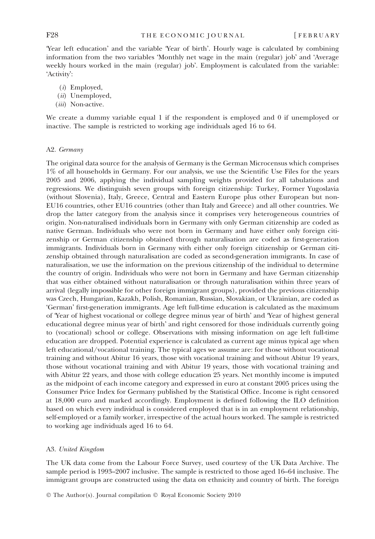Year left education' and the variable 'Year of birth'. Hourly wage is calculated by combining information from the two variables 'Monthly net wage in the main (regular) job' and 'Average weekly hours worked in the main (regular) job'. Employment is calculated from the variable: `Activity`:

- (i) Employed,
- (*ii*) Unemployed,
- (*iii*) Non-active.

We create a dummy variable equal 1 if the respondent is employed and 0 if unemployed or inactive. The sample is restricted to working age individuals aged 16 to 64.

#### A2. Germany

The original data source for the analysis of Germany is the German Microcensus which comprises 1% of all households in Germany. For our analysis, we use the Scientific Use Files for the years 2005 and 2006, applying the individual sampling weights provided for all tabulations and regressions. We distinguish seven groups with foreign citizenship: Turkey, Former Yugoslavia (without Slovenia), Italy, Greece, Central and Eastern Europe plus other European but non-EU16 countries, other EU16 countries (other than Italy and Greece) and all other countries. We drop the latter category from the analysis since it comprises very heterogeneous countries of origin. Non-naturalised individuals born in Germany with only German citizenship are coded as native German. Individuals who were not born in Germany and have either only foreign citizenship or German citizenship obtained through naturalisation are coded as first-generation immigrants. Individuals born in Germany with either only foreign citizenship or German citizenship obtained through naturalisation are coded as second-generation immigrants. In case of naturalisation, we use the information on the previous citizenship of the individual to determine the country of origin. Individuals who were not born in Germany and have German citizenship that was either obtained without naturalisation or through naturalisation within three years of arrival (legally impossible for other foreign immigrant groups), provided the previous citizenship was Czech, Hungarian, Kazakh, Polish, Romanian, Russian, Slovakian, or Ukrainian, are coded as 'German' first-generation immigrants. Age left full-time education is calculated as the maximum of 'Year of highest vocational or college degree minus year of birth' and 'Year of highest general educational degree minus year of birth' and right censored for those individuals currently going to (vocational) school or college. Observations with missing information on age left full-time education are dropped. Potential experience is calculated as current age minus typical age when left educational/vocational training. The typical ages we assume are: for those without vocational training and without Abitur 16 years, those with vocational training and without Abitur 19 years, those without vocational training and with Abitur 19 years, those with vocational training and with Abitur 22 years, and those with college education 25 years. Net monthly income is imputed as the midpoint of each income category and expressed in euro at constant 2005 prices using the Consumer Price Index for Germany published by the Statistical Office. Income is right censored at 18,000 euro and marked accordingly. Employment is defined following the ILO definition based on which every individual is considered employed that is in an employment relationship, self-employed or a family worker, irrespective of the actual hours worked. The sample is restricted to working age individuals aged 16 to 64.

#### A3. United Kingdom

The UK data come from the Labour Force Survey, used courtesy of the UK Data Archive. The sample period is 1993–2007 inclusive. The sample is restricted to those aged 16–64 inclusive. The immigrant groups are constructed using the data on ethnicity and country of birth. The foreign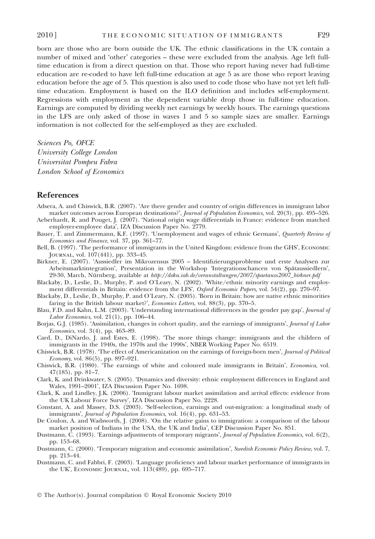born are those who are born outside the UK. The ethnic classifications in the UK contain a number of mixed and 'other' categories – these were excluded from the analysis. Age left fulltime education is from a direct question on that. Those who report having never had full-time education are re-coded to have left full-time education at age 5 as are those who report leaving education before the age of 5. This question is also used to code those who have not yet left fulltime education. Employment is based on the ILO definition and includes self-employment. Regressions with employment as the dependent variable drop those in full-time education. Earnings are computed by dividing weekly net earnings by weekly hours. The earnings questions in the LFS are only asked of those in waves 1 and 5 so sample sizes are smaller. Earnings information is not collected for the self-employed as they are excluded.

Sciences Po, OFCE University College London Universitat Pompeu Fabra London School of Economics

### References

Adsera, A. and Chiswick, B.R. (2007). 'Are there gender and country of origin differences in immigrant labor market outcomes across European destinations?', *Journal of Population Economics*, vol. 20(3), pp. 495–526.

Aeberhardt, R. and Pouget, J. (2007). National origin wage differentials in France: evidence from matched employer-employee data', IZA Discussion Paper No. 2779.

- Bauer, T. and Zimmermann, K.F. (1997). 'Unemployment and wages of ethnic Germans', *Quarterly Review of* Economics and Finance, vol. 37, pp. 361–77.
- Bell, B. (1997). The performance of immigrants in the United Kingdom: evidence from the GHS-, Economic Journal, vol. 107(441), pp. 333–45.
- Birkner, E. (2007). Aussiedler im Mikrozensus 2005 Identifizierungsprobleme und erste Analysen zur Arbeitsmarktintegration', Presentation in the Workshop 'Integrationschancen von Spätaussiedlern', 29-30, March, Nürnberg, available at http://doku.iab.de/veranstaltungen/2007/spaetauss2007\_birkner.pdf
- Blackaby, D., Leslie, D., Murphy, P. and O'Leary, N. (2002). White/ethnic minority earnings and employment differentials in Britain: evidence from the LFS', Oxford Economic Papers, vol. 54(2), pp. 270–97.
- Blackaby, D., Leslie, D., Murphy, P. and O'Leary, N. (2005). Born in Britain: how are native ethnic minorities faring in the British labour market?', *Economics Letters*, vol. 88(3), pp. 370–5.
- Blau, F.D. and Kahn, L.M. (2003). 'Understanding international differences in the gender pay gap', Journal of Labor Economics, vol. 21(1), pp. 106–44.
- Borjas, G.J. (1985). 'Assimilation, changes in cohort quality, and the earnings of immigrants', Journal of Labor Economics, vol. 3(4), pp. 463–89.

Card, D., DiNardo, J. and Estes, E. (1998). The more things change: immigrants and the children of immigrants in the 1940s, the 1970s and the 1990s', NBER Working Paper No. 6519.

- Chiswick, B.R. (1978). 'The effect of Americanization on the earnings of foreign-born men', Journal of Political Economy, vol. 86(5), pp. 897–921.
- Chiswick, B.R. (1980). 'The earnings of white and coloured male immigrants in Britain', *Economica*, vol. 47(185), pp. 81–7.
- Clark, K. and Drinkwater, S. (2005). Dynamics and diversity: ethnic employment differences in England and Wales, 1991-2001', IZA Discussion Paper No. 1698.
- Clark, K. and Lindley, J.K. (2006). Immigrant labour market assimilation and arrival effects: evidence from the UK Labour Force Survey', IZA Discussion Paper No. 2228.
- Constant, A. and Massey, D.S. (2003). Self-selection, earnings and out-migration: a longitudinal study of immigrants', Journal of Population Economics, vol. 16(4), pp. 631–53.
- De Coulon, A. and Wadsworth, J. (2008). On the relative gains to immigration: a comparison of the labour market position of Indians in the USA, the UK and India-, CEP Discussion Paper No. 851.
- Dustmann, C. (1993). 'Earnings adjustments of temporary migrants', *Journal of Population Economics*, vol. 6(2), pp. 153–68.
- Dustmann, C. (2000). 'Temporary migration and economic assimilation', Swedish Economic Policy Review, vol. 7, pp. 213–44.
- Dustmann, C. and Fabbri, F. (2003). Language proficiency and labour market performance of immigrants in the UK-, Economic Journal, vol. 113(489), pp. 695–717.